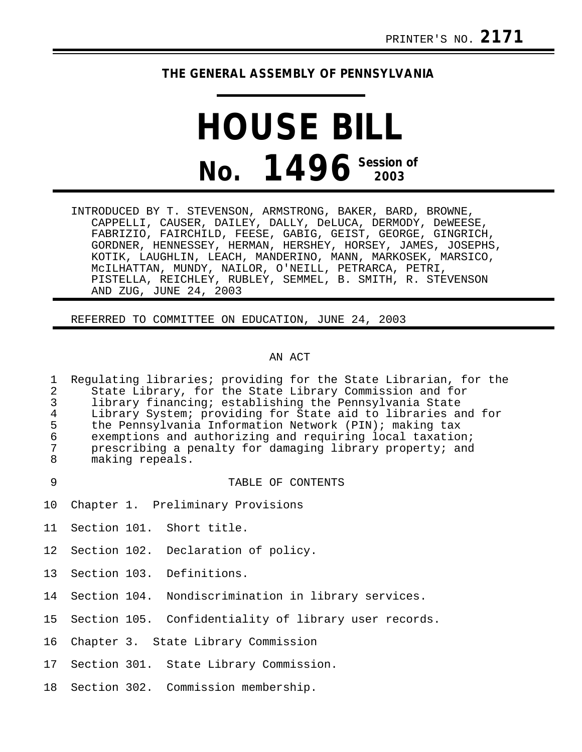# **THE GENERAL ASSEMBLY OF PENNSYLVANIA**

# **HOUSE BILL No. 1496 Session of 2003**

INTRODUCED BY T. STEVENSON, ARMSTRONG, BAKER, BARD, BROWNE, CAPPELLI, CAUSER, DAILEY, DALLY, DeLUCA, DERMODY, DeWEESE, FABRIZIO, FAIRCHILD, FEESE, GABIG, GEIST, GEORGE, GINGRICH, GORDNER, HENNESSEY, HERMAN, HERSHEY, HORSEY, JAMES, JOSEPHS, KOTIK, LAUGHLIN, LEACH, MANDERINO, MANN, MARKOSEK, MARSICO, McILHATTAN, MUNDY, NAILOR, O'NEILL, PETRARCA, PETRI, PISTELLA, REICHLEY, RUBLEY, SEMMEL, B. SMITH, R. STEVENSON AND ZUG, JUNE 24, 2003

REFERRED TO COMMITTEE ON EDUCATION, JUNE 24, 2003

#### AN ACT

1 Regulating libraries; providing for the State Librarian, for the<br>2 State Library, for the State Library Commission and for 2 State Library, for the State Library Commission and for<br>3 library financing; establishing the Pennsylvania State 3 library financing; establishing the Pennsylvania State 4 Library System; providing for State aid to libraries and for<br>5 the Pennsylvania Information Network (PIN); making tax 5 the Pennsylvania Information Network (PIN); making tax<br>6 exemptions and authorizing and requiring local taxation 6 exemptions and authorizing and requiring local taxation;<br>7 brescribing a penalty for damaging library property; and 7 prescribing a penalty for damaging library property; and<br>8 making repeals. making repeals.

9 TABLE OF CONTENTS

- 10 Chapter 1. Preliminary Provisions
- 11 Section 101. Short title.
- 12 Section 102. Declaration of policy.
- 13 Section 103. Definitions.
- 14 Section 104. Nondiscrimination in library services.
- 15 Section 105. Confidentiality of library user records.
- 16 Chapter 3. State Library Commission
- 17 Section 301. State Library Commission.
- 18 Section 302. Commission membership.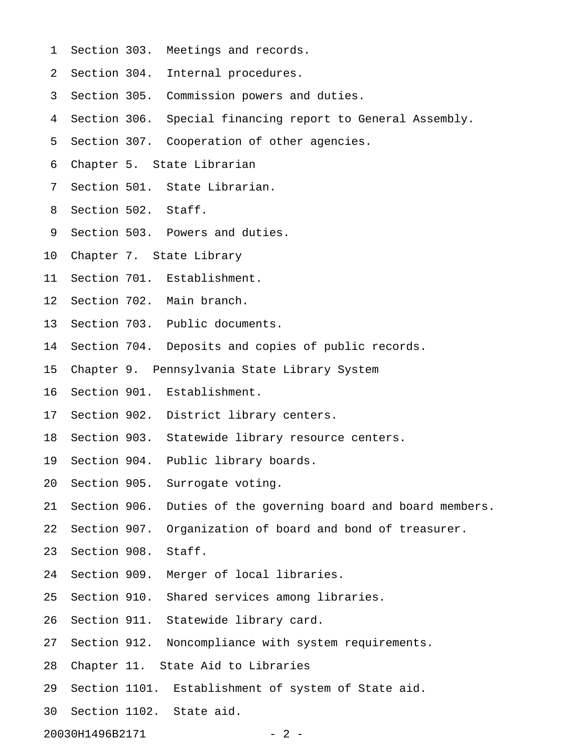- 1 Section 303. Meetings and records.
- 2 Section 304. Internal procedures.
- 3 Section 305. Commission powers and duties.
- 4 Section 306. Special financing report to General Assembly.
- 5 Section 307. Cooperation of other agencies.
- 6 Chapter 5. State Librarian
- 7 Section 501. State Librarian.
- 8 Section 502. Staff.
- 9 Section 503. Powers and duties.
- 10 Chapter 7. State Library
- 11 Section 701. Establishment.
- 12 Section 702. Main branch.
- 13 Section 703. Public documents.
- 14 Section 704. Deposits and copies of public records.
- 15 Chapter 9. Pennsylvania State Library System
- 16 Section 901. Establishment.
- 17 Section 902. District library centers.
- 18 Section 903. Statewide library resource centers.
- 19 Section 904. Public library boards.
- 20 Section 905. Surrogate voting.
- 21 Section 906. Duties of the governing board and board members.
- 22 Section 907. Organization of board and bond of treasurer.
- 23 Section 908. Staff.
- 24 Section 909. Merger of local libraries.
- 25 Section 910. Shared services among libraries.
- 26 Section 911. Statewide library card.
- 27 Section 912. Noncompliance with system requirements.
- 28 Chapter 11. State Aid to Libraries
- 29 Section 1101. Establishment of system of State aid.
- 30 Section 1102. State aid.

20030H1496B2171 - 2 -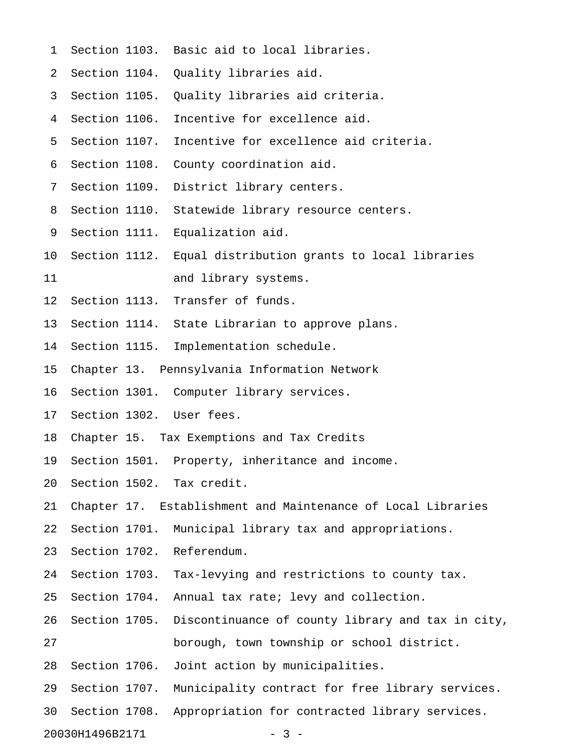- 1 Section 1103. Basic aid to local libraries.
- 2 Section 1104. Quality libraries aid.
- 3 Section 1105. Quality libraries aid criteria.
- 4 Section 1106. Incentive for excellence aid.
- 5 Section 1107. Incentive for excellence aid criteria.
- 6 Section 1108. County coordination aid.
- 7 Section 1109. District library centers.
- 8 Section 1110. Statewide library resource centers.
- 9 Section 1111. Equalization aid.
- 10 Section 1112. Equal distribution grants to local libraries 11 and library systems.
- 12 Section 1113. Transfer of funds.
- 13 Section 1114. State Librarian to approve plans.
- 14 Section 1115. Implementation schedule.
- 15 Chapter 13. Pennsylvania Information Network
- 16 Section 1301. Computer library services.
- 17 Section 1302. User fees.
- 18 Chapter 15. Tax Exemptions and Tax Credits
- 19 Section 1501. Property, inheritance and income.
- 20 Section 1502. Tax credit.

21 Chapter 17. Establishment and Maintenance of Local Libraries

22 Section 1701. Municipal library tax and appropriations.

- 23 Section 1702. Referendum.
- 24 Section 1703. Tax-levying and restrictions to county tax.
- 25 Section 1704. Annual tax rate; levy and collection.
- 26 Section 1705. Discontinuance of county library and tax in city, 27 borough, town township or school district.
- 28 Section 1706. Joint action by municipalities.
- 29 Section 1707. Municipality contract for free library services.
- 30 Section 1708. Appropriation for contracted library services.

20030H1496B2171 - 3 -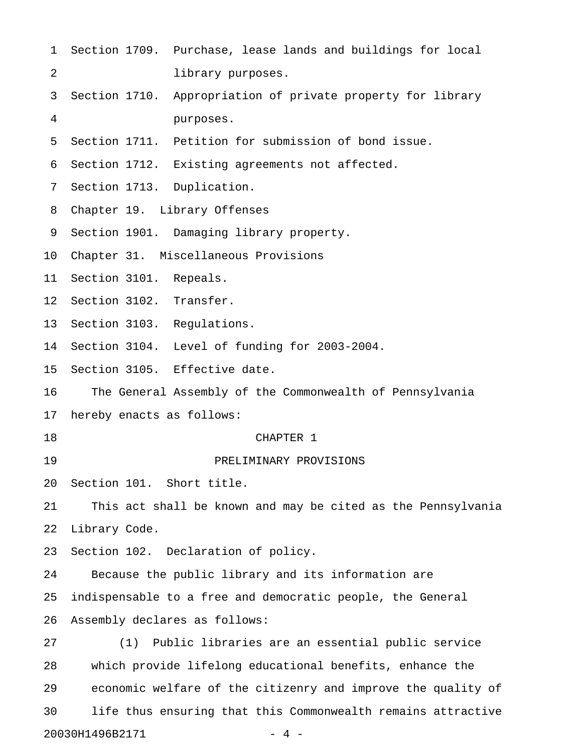- 1 Section 1709. Purchase, lease lands and buildings for local 2 library purposes.
- 3 Section 1710. Appropriation of private property for library 4 purposes.
- 5 Section 1711. Petition for submission of bond issue.
- 6 Section 1712. Existing agreements not affected.
- 7 Section 1713. Duplication.
- 8 Chapter 19. Library Offenses
- 9 Section 1901. Damaging library property.
- 10 Chapter 31. Miscellaneous Provisions
- 11 Section 3101. Repeals.
- 12 Section 3102. Transfer.
- 13 Section 3103. Regulations.
- 14 Section 3104. Level of funding for 2003-2004.
- 15 Section 3105. Effective date.
- 16 The General Assembly of the Commonwealth of Pennsylvania
- 17 hereby enacts as follows:
- 18 CHAPTER 1
	-
- 19 PRELIMINARY PROVISIONS
- 20 Section 101. Short title.
- 21 This act shall be known and may be cited as the Pennsylvania
- 22 Library Code.
- 23 Section 102. Declaration of policy.
- 24 Because the public library and its information are
- 25 indispensable to a free and democratic people, the General
- 26 Assembly declares as follows:

27 (1) Public libraries are an essential public service 28 which provide lifelong educational benefits, enhance the 29 economic welfare of the citizenry and improve the quality of 30 life thus ensuring that this Commonwealth remains attractive 20030H1496B2171 - 4 -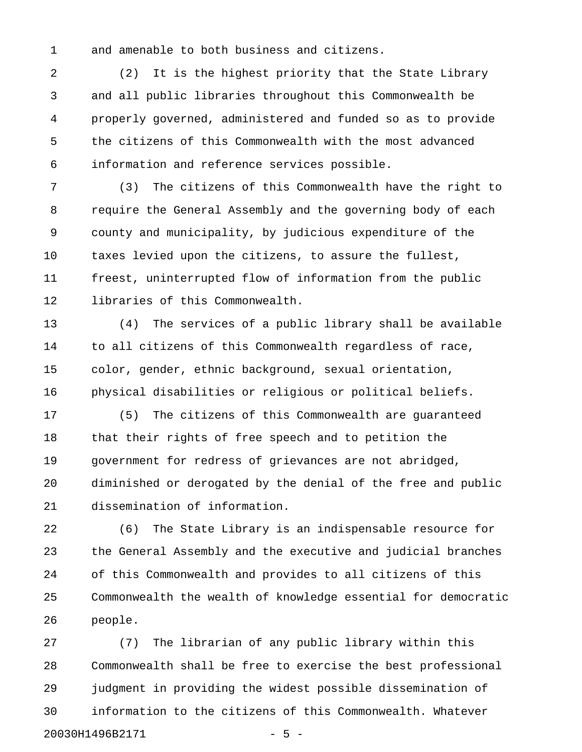1 and amenable to both business and citizens.

2 (2) It is the highest priority that the State Library 3 and all public libraries throughout this Commonwealth be 4 properly governed, administered and funded so as to provide 5 the citizens of this Commonwealth with the most advanced 6 information and reference services possible.

7 (3) The citizens of this Commonwealth have the right to 8 require the General Assembly and the governing body of each 9 county and municipality, by judicious expenditure of the 10 taxes levied upon the citizens, to assure the fullest, 11 freest, uninterrupted flow of information from the public 12 libraries of this Commonwealth.

13 (4) The services of a public library shall be available 14 to all citizens of this Commonwealth regardless of race, 15 color, gender, ethnic background, sexual orientation, 16 physical disabilities or religious or political beliefs.

17 (5) The citizens of this Commonwealth are guaranteed 18 that their rights of free speech and to petition the 19 government for redress of grievances are not abridged, 20 diminished or derogated by the denial of the free and public 21 dissemination of information.

22 (6) The State Library is an indispensable resource for 23 the General Assembly and the executive and judicial branches 24 of this Commonwealth and provides to all citizens of this 25 Commonwealth the wealth of knowledge essential for democratic 26 people.

27 (7) The librarian of any public library within this 28 Commonwealth shall be free to exercise the best professional 29 judgment in providing the widest possible dissemination of 30 information to the citizens of this Commonwealth. Whatever 20030H1496B2171 - 5 -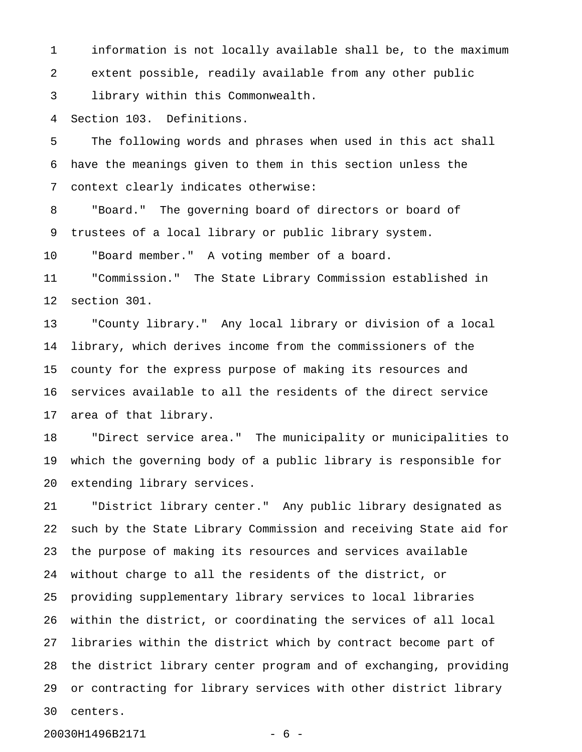1 information is not locally available shall be, to the maximum 2 extent possible, readily available from any other public 3 library within this Commonwealth.

4 Section 103. Definitions.

5 The following words and phrases when used in this act shall 6 have the meanings given to them in this section unless the 7 context clearly indicates otherwise:

8 "Board." The governing board of directors or board of 9 trustees of a local library or public library system.

10 "Board member." A voting member of a board.

11 "Commission." The State Library Commission established in 12 section 301.

13 "County library." Any local library or division of a local 14 library, which derives income from the commissioners of the 15 county for the express purpose of making its resources and 16 services available to all the residents of the direct service 17 area of that library.

18 "Direct service area." The municipality or municipalities to 19 which the governing body of a public library is responsible for 20 extending library services.

21 "District library center." Any public library designated as 22 such by the State Library Commission and receiving State aid for 23 the purpose of making its resources and services available 24 without charge to all the residents of the district, or 25 providing supplementary library services to local libraries 26 within the district, or coordinating the services of all local 27 libraries within the district which by contract become part of 28 the district library center program and of exchanging, providing 29 or contracting for library services with other district library 30 centers.

20030H1496B2171 - 6 -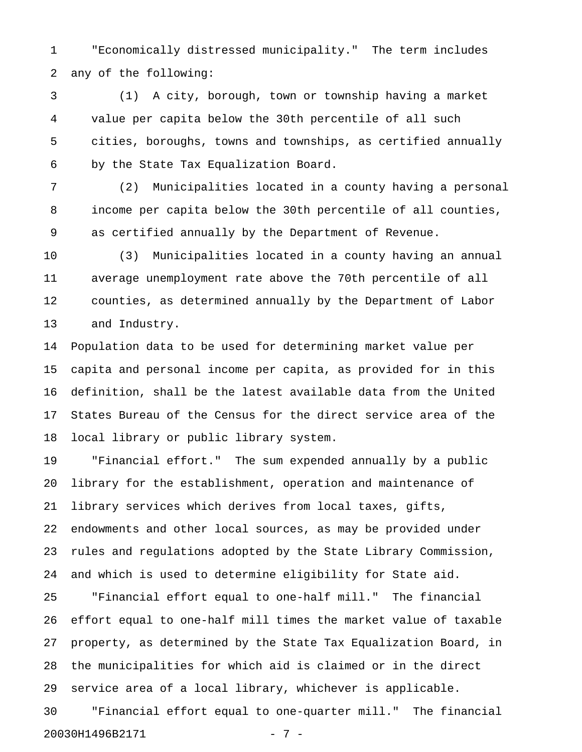1 "Economically distressed municipality." The term includes 2 any of the following:

3 (1) A city, borough, town or township having a market 4 value per capita below the 30th percentile of all such 5 cities, boroughs, towns and townships, as certified annually 6 by the State Tax Equalization Board.

7 (2) Municipalities located in a county having a personal 8 income per capita below the 30th percentile of all counties, 9 as certified annually by the Department of Revenue.

10 (3) Municipalities located in a county having an annual 11 average unemployment rate above the 70th percentile of all 12 counties, as determined annually by the Department of Labor 13 and Industry.

14 Population data to be used for determining market value per 15 capita and personal income per capita, as provided for in this 16 definition, shall be the latest available data from the United 17 States Bureau of the Census for the direct service area of the 18 local library or public library system.

19 "Financial effort." The sum expended annually by a public 20 library for the establishment, operation and maintenance of 21 library services which derives from local taxes, gifts, 22 endowments and other local sources, as may be provided under 23 rules and regulations adopted by the State Library Commission, 24 and which is used to determine eligibility for State aid.

25 "Financial effort equal to one-half mill." The financial 26 effort equal to one-half mill times the market value of taxable 27 property, as determined by the State Tax Equalization Board, in 28 the municipalities for which aid is claimed or in the direct 29 service area of a local library, whichever is applicable.

30 "Financial effort equal to one-quarter mill." The financial 20030H1496B2171 - 7 -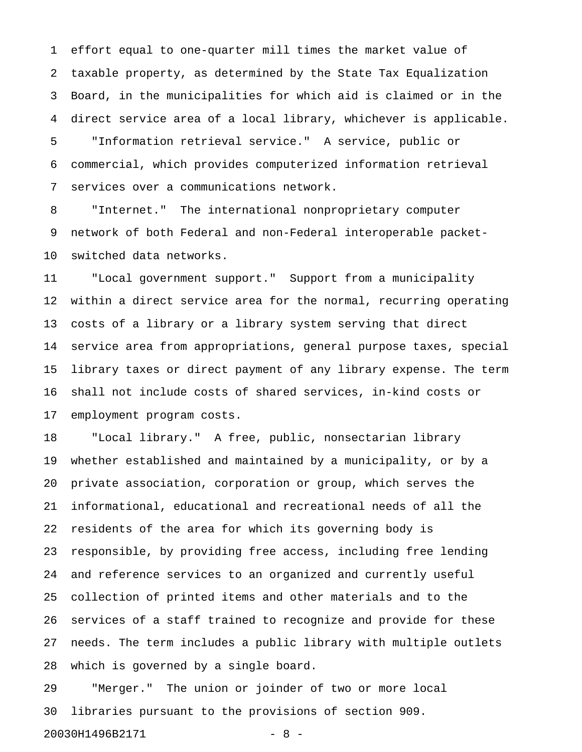1 effort equal to one-quarter mill times the market value of 2 taxable property, as determined by the State Tax Equalization 3 Board, in the municipalities for which aid is claimed or in the 4 direct service area of a local library, whichever is applicable.

5 "Information retrieval service." A service, public or 6 commercial, which provides computerized information retrieval 7 services over a communications network.

8 "Internet." The international nonproprietary computer 9 network of both Federal and non-Federal interoperable packet-10 switched data networks.

11 "Local government support." Support from a municipality 12 within a direct service area for the normal, recurring operating 13 costs of a library or a library system serving that direct 14 service area from appropriations, general purpose taxes, special 15 library taxes or direct payment of any library expense. The term 16 shall not include costs of shared services, in-kind costs or 17 employment program costs.

18 "Local library." A free, public, nonsectarian library 19 whether established and maintained by a municipality, or by a 20 private association, corporation or group, which serves the 21 informational, educational and recreational needs of all the 22 residents of the area for which its governing body is 23 responsible, by providing free access, including free lending 24 and reference services to an organized and currently useful 25 collection of printed items and other materials and to the 26 services of a staff trained to recognize and provide for these 27 needs. The term includes a public library with multiple outlets 28 which is governed by a single board.

29 "Merger." The union or joinder of two or more local 30 libraries pursuant to the provisions of section 909.

20030H1496B2171 - 8 -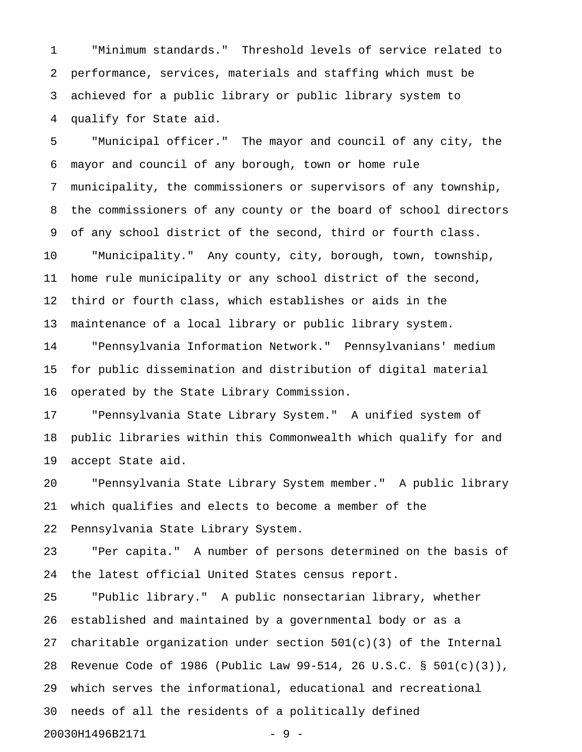1 "Minimum standards." Threshold levels of service related to 2 performance, services, materials and staffing which must be 3 achieved for a public library or public library system to 4 qualify for State aid.

5 "Municipal officer." The mayor and council of any city, the 6 mayor and council of any borough, town or home rule 7 municipality, the commissioners or supervisors of any township, 8 the commissioners of any county or the board of school directors 9 of any school district of the second, third or fourth class. 10 "Municipality." Any county, city, borough, town, township,

11 home rule municipality or any school district of the second, 12 third or fourth class, which establishes or aids in the 13 maintenance of a local library or public library system.

14 "Pennsylvania Information Network." Pennsylvanians' medium 15 for public dissemination and distribution of digital material 16 operated by the State Library Commission.

17 "Pennsylvania State Library System." A unified system of 18 public libraries within this Commonwealth which qualify for and 19 accept State aid.

20 "Pennsylvania State Library System member." A public library 21 which qualifies and elects to become a member of the 22 Pennsylvania State Library System.

23 "Per capita." A number of persons determined on the basis of 24 the latest official United States census report.

25 "Public library." A public nonsectarian library, whether 26 established and maintained by a governmental body or as a 27 charitable organization under section  $501(c)(3)$  of the Internal 28 Revenue Code of 1986 (Public Law 99-514, 26 U.S.C. § 501(c)(3)), 29 which serves the informational, educational and recreational 30 needs of all the residents of a politically defined 20030H1496B2171 - 9 -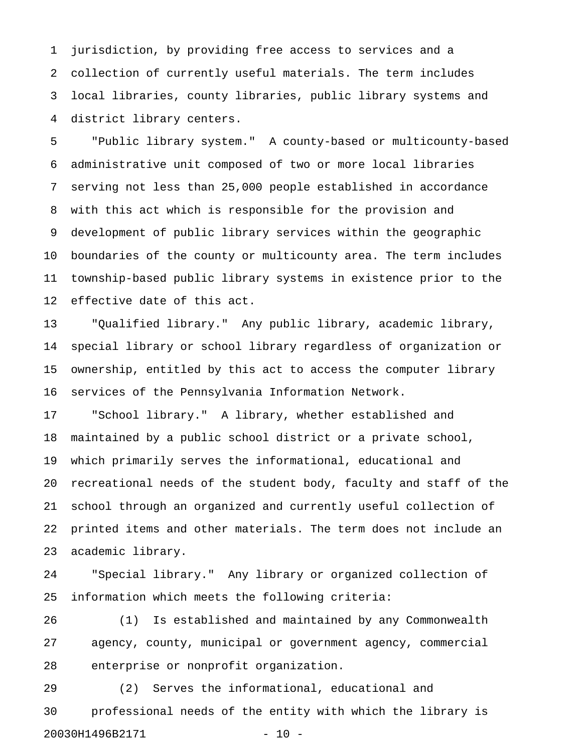1 jurisdiction, by providing free access to services and a 2 collection of currently useful materials. The term includes 3 local libraries, county libraries, public library systems and 4 district library centers.

5 "Public library system." A county-based or multicounty-based 6 administrative unit composed of two or more local libraries 7 serving not less than 25,000 people established in accordance 8 with this act which is responsible for the provision and 9 development of public library services within the geographic 10 boundaries of the county or multicounty area. The term includes 11 township-based public library systems in existence prior to the 12 effective date of this act.

13 "Qualified library." Any public library, academic library, 14 special library or school library regardless of organization or 15 ownership, entitled by this act to access the computer library 16 services of the Pennsylvania Information Network.

17 "School library." A library, whether established and 18 maintained by a public school district or a private school, 19 which primarily serves the informational, educational and 20 recreational needs of the student body, faculty and staff of the 21 school through an organized and currently useful collection of 22 printed items and other materials. The term does not include an 23 academic library.

24 "Special library." Any library or organized collection of 25 information which meets the following criteria:

26 (1) Is established and maintained by any Commonwealth 27 agency, county, municipal or government agency, commercial 28 enterprise or nonprofit organization.

29 (2) Serves the informational, educational and 30 professional needs of the entity with which the library is 20030H1496B2171 - 10 -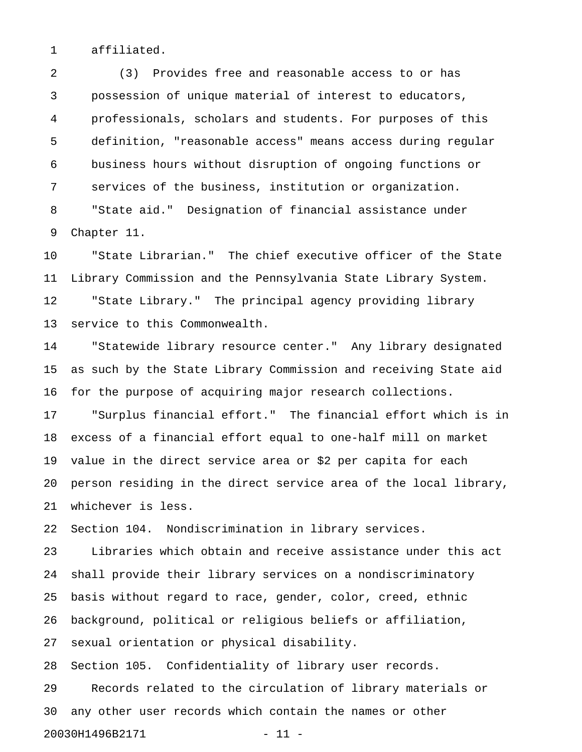1 affiliated.

2 (3) Provides free and reasonable access to or has 3 possession of unique material of interest to educators, 4 professionals, scholars and students. For purposes of this 5 definition, "reasonable access" means access during regular 6 business hours without disruption of ongoing functions or 7 services of the business, institution or organization. 8 "State aid." Designation of financial assistance under 9 Chapter 11.

10 "State Librarian." The chief executive officer of the State 11 Library Commission and the Pennsylvania State Library System. 12 "State Library." The principal agency providing library 13 service to this Commonwealth.

14 "Statewide library resource center." Any library designated 15 as such by the State Library Commission and receiving State aid 16 for the purpose of acquiring major research collections.

17 "Surplus financial effort." The financial effort which is in 18 excess of a financial effort equal to one-half mill on market 19 value in the direct service area or \$2 per capita for each 20 person residing in the direct service area of the local library, 21 whichever is less.

22 Section 104. Nondiscrimination in library services.

23 Libraries which obtain and receive assistance under this act 24 shall provide their library services on a nondiscriminatory 25 basis without regard to race, gender, color, creed, ethnic 26 background, political or religious beliefs or affiliation, 27 sexual orientation or physical disability.

28 Section 105. Confidentiality of library user records. 29 Records related to the circulation of library materials or 30 any other user records which contain the names or other 20030H1496B2171 - 11 -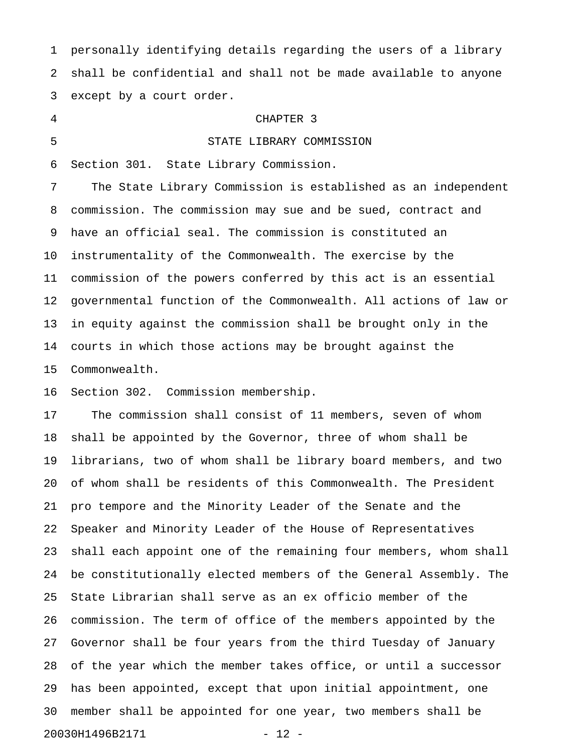1 personally identifying details regarding the users of a library 2 shall be confidential and shall not be made available to anyone 3 except by a court order.

4 CHAPTER 3 5 STATE LIBRARY COMMISSION 6 Section 301. State Library Commission. 7 The State Library Commission is established as an independent 8 commission. The commission may sue and be sued, contract and 9 have an official seal. The commission is constituted an 10 instrumentality of the Commonwealth. The exercise by the 11 commission of the powers conferred by this act is an essential 12 governmental function of the Commonwealth. All actions of law or 13 in equity against the commission shall be brought only in the 14 courts in which those actions may be brought against the 15 Commonwealth.

16 Section 302. Commission membership.

17 The commission shall consist of 11 members, seven of whom 18 shall be appointed by the Governor, three of whom shall be 19 librarians, two of whom shall be library board members, and two 20 of whom shall be residents of this Commonwealth. The President 21 pro tempore and the Minority Leader of the Senate and the 22 Speaker and Minority Leader of the House of Representatives 23 shall each appoint one of the remaining four members, whom shall 24 be constitutionally elected members of the General Assembly. The 25 State Librarian shall serve as an ex officio member of the 26 commission. The term of office of the members appointed by the 27 Governor shall be four years from the third Tuesday of January 28 of the year which the member takes office, or until a successor 29 has been appointed, except that upon initial appointment, one 30 member shall be appointed for one year, two members shall be 20030H1496B2171 - 12 -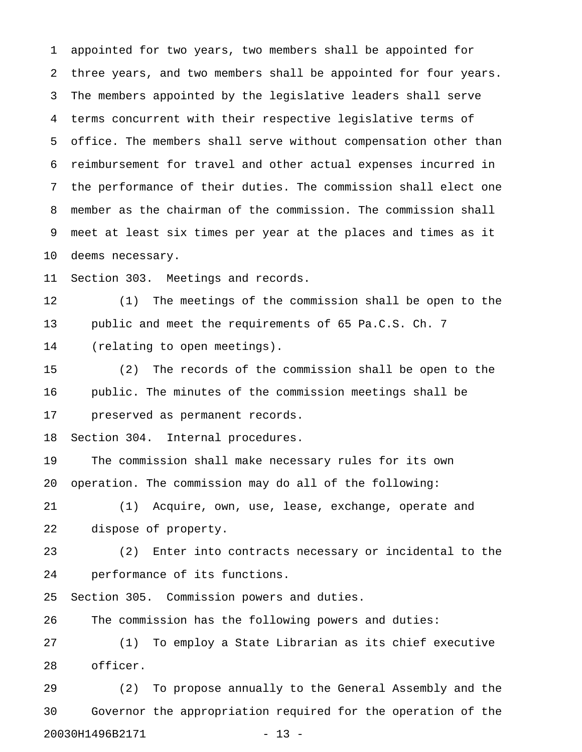1 appointed for two years, two members shall be appointed for 2 three years, and two members shall be appointed for four years. 3 The members appointed by the legislative leaders shall serve 4 terms concurrent with their respective legislative terms of 5 office. The members shall serve without compensation other than 6 reimbursement for travel and other actual expenses incurred in 7 the performance of their duties. The commission shall elect one 8 member as the chairman of the commission. The commission shall 9 meet at least six times per year at the places and times as it 10 deems necessary.

11 Section 303. Meetings and records.

12 (1) The meetings of the commission shall be open to the 13 public and meet the requirements of 65 Pa.C.S. Ch. 7 14 (relating to open meetings).

15 (2) The records of the commission shall be open to the 16 public. The minutes of the commission meetings shall be 17 preserved as permanent records.

18 Section 304. Internal procedures.

19 The commission shall make necessary rules for its own 20 operation. The commission may do all of the following:

21 (1) Acquire, own, use, lease, exchange, operate and 22 dispose of property.

23 (2) Enter into contracts necessary or incidental to the 24 performance of its functions.

25 Section 305. Commission powers and duties.

26 The commission has the following powers and duties:

27 (1) To employ a State Librarian as its chief executive 28 officer.

29 (2) To propose annually to the General Assembly and the 30 Governor the appropriation required for the operation of the 20030H1496B2171 - 13 -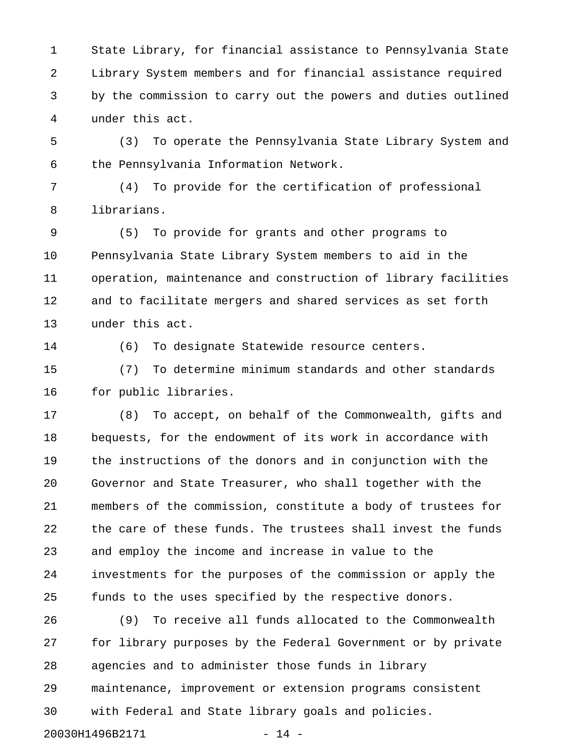1 State Library, for financial assistance to Pennsylvania State 2 Library System members and for financial assistance required 3 by the commission to carry out the powers and duties outlined 4 under this act.

5 (3) To operate the Pennsylvania State Library System and 6 the Pennsylvania Information Network.

7 (4) To provide for the certification of professional 8 librarians.

9 (5) To provide for grants and other programs to 10 Pennsylvania State Library System members to aid in the 11 operation, maintenance and construction of library facilities 12 and to facilitate mergers and shared services as set forth 13 under this act.

14 (6) To designate Statewide resource centers.

15 (7) To determine minimum standards and other standards 16 for public libraries.

17 (8) To accept, on behalf of the Commonwealth, gifts and 18 bequests, for the endowment of its work in accordance with 19 the instructions of the donors and in conjunction with the 20 Governor and State Treasurer, who shall together with the 21 members of the commission, constitute a body of trustees for 22 the care of these funds. The trustees shall invest the funds 23 and employ the income and increase in value to the 24 investments for the purposes of the commission or apply the 25 funds to the uses specified by the respective donors.

26 (9) To receive all funds allocated to the Commonwealth 27 for library purposes by the Federal Government or by private 28 agencies and to administer those funds in library 29 maintenance, improvement or extension programs consistent 30 with Federal and State library goals and policies.

20030H1496B2171 - 14 -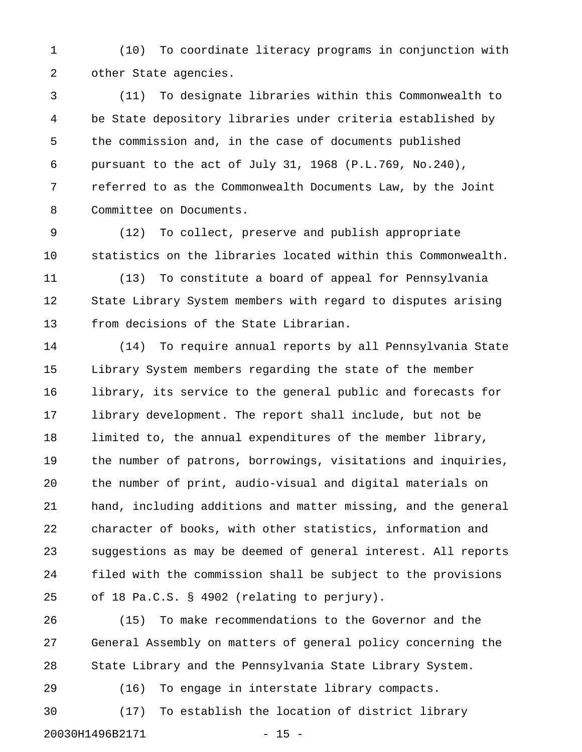1 (10) To coordinate literacy programs in conjunction with 2 other State agencies.

3 (11) To designate libraries within this Commonwealth to 4 be State depository libraries under criteria established by 5 the commission and, in the case of documents published 6 pursuant to the act of July 31, 1968 (P.L.769, No.240), 7 referred to as the Commonwealth Documents Law, by the Joint 8 Committee on Documents.

9 (12) To collect, preserve and publish appropriate 10 statistics on the libraries located within this Commonwealth.

11 (13) To constitute a board of appeal for Pennsylvania 12 State Library System members with regard to disputes arising 13 from decisions of the State Librarian.

14 (14) To require annual reports by all Pennsylvania State 15 Library System members regarding the state of the member 16 library, its service to the general public and forecasts for 17 library development. The report shall include, but not be 18 limited to, the annual expenditures of the member library, 19 the number of patrons, borrowings, visitations and inquiries, 20 the number of print, audio-visual and digital materials on 21 hand, including additions and matter missing, and the general 22 character of books, with other statistics, information and 23 suggestions as may be deemed of general interest. All reports 24 filed with the commission shall be subject to the provisions 25 of 18 Pa.C.S. § 4902 (relating to perjury).

26 (15) To make recommendations to the Governor and the 27 General Assembly on matters of general policy concerning the 28 State Library and the Pennsylvania State Library System.

30 (17) To establish the location of district library 20030H1496B2171 - 15 -

29 (16) To engage in interstate library compacts.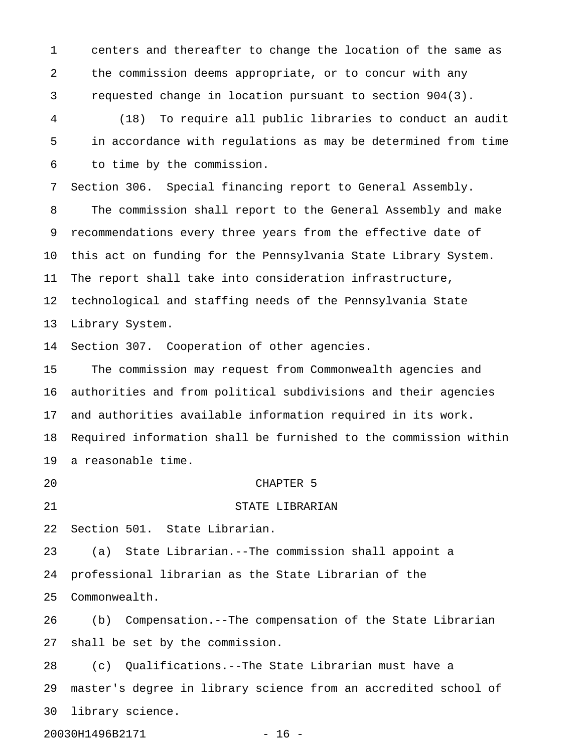1 centers and thereafter to change the location of the same as 2 the commission deems appropriate, or to concur with any 3 requested change in location pursuant to section 904(3).

4 (18) To require all public libraries to conduct an audit 5 in accordance with regulations as may be determined from time 6 to time by the commission.

7 Section 306. Special financing report to General Assembly. 8 The commission shall report to the General Assembly and make 9 recommendations every three years from the effective date of 10 this act on funding for the Pennsylvania State Library System. 11 The report shall take into consideration infrastructure, 12 technological and staffing needs of the Pennsylvania State 13 Library System.

14 Section 307. Cooperation of other agencies.

15 The commission may request from Commonwealth agencies and 16 authorities and from political subdivisions and their agencies 17 and authorities available information required in its work. 18 Required information shall be furnished to the commission within 19 a reasonable time.

#### 20 CHAPTER 5

22 Section 501. State Librarian.

21 STATE LIBRARIAN

23 (a) State Librarian.--The commission shall appoint a 24 professional librarian as the State Librarian of the 25 Commonwealth.

26 (b) Compensation.--The compensation of the State Librarian 27 shall be set by the commission.

28 (c) Qualifications.--The State Librarian must have a 29 master's degree in library science from an accredited school of 30 library science.

20030H1496B2171 - 16 -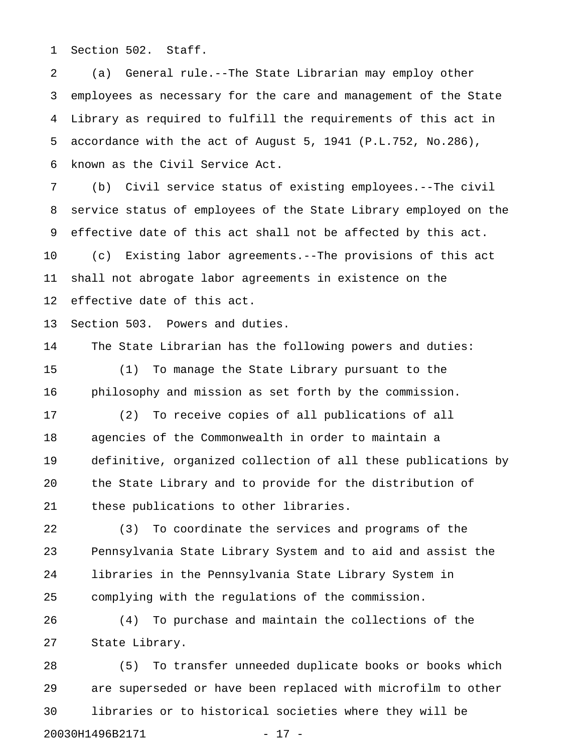1 Section 502. Staff.

2 (a) General rule.--The State Librarian may employ other 3 employees as necessary for the care and management of the State 4 Library as required to fulfill the requirements of this act in 5 accordance with the act of August 5, 1941 (P.L.752, No.286), 6 known as the Civil Service Act.

7 (b) Civil service status of existing employees.--The civil 8 service status of employees of the State Library employed on the 9 effective date of this act shall not be affected by this act. 10 (c) Existing labor agreements.--The provisions of this act 11 shall not abrogate labor agreements in existence on the 12 effective date of this act.

13 Section 503. Powers and duties.

14 The State Librarian has the following powers and duties: 15 (1) To manage the State Library pursuant to the 16 philosophy and mission as set forth by the commission.

17 (2) To receive copies of all publications of all 18 agencies of the Commonwealth in order to maintain a 19 definitive, organized collection of all these publications by 20 the State Library and to provide for the distribution of 21 these publications to other libraries.

22 (3) To coordinate the services and programs of the 23 Pennsylvania State Library System and to aid and assist the 24 libraries in the Pennsylvania State Library System in 25 complying with the regulations of the commission.

26 (4) To purchase and maintain the collections of the 27 State Library.

28 (5) To transfer unneeded duplicate books or books which 29 are superseded or have been replaced with microfilm to other 30 libraries or to historical societies where they will be 20030H1496B2171 - 17 -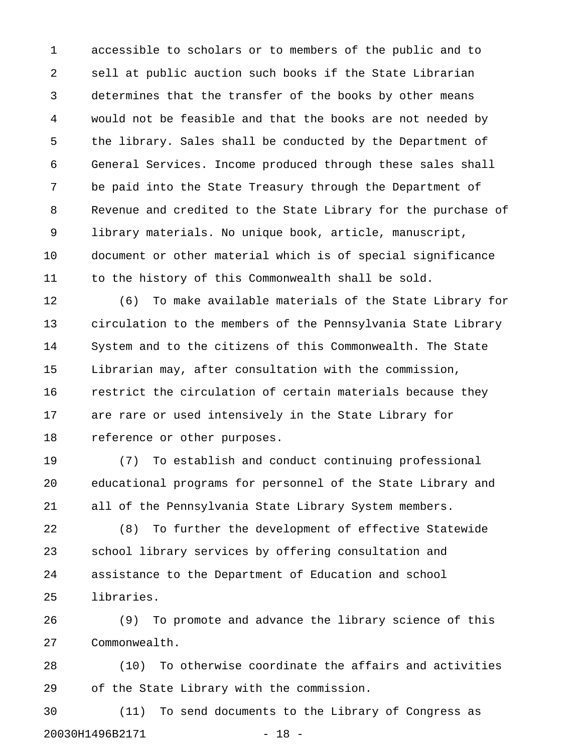1 accessible to scholars or to members of the public and to 2 sell at public auction such books if the State Librarian 3 determines that the transfer of the books by other means 4 would not be feasible and that the books are not needed by 5 the library. Sales shall be conducted by the Department of 6 General Services. Income produced through these sales shall 7 be paid into the State Treasury through the Department of 8 Revenue and credited to the State Library for the purchase of 9 library materials. No unique book, article, manuscript, 10 document or other material which is of special significance 11 to the history of this Commonwealth shall be sold.

12 (6) To make available materials of the State Library for 13 circulation to the members of the Pennsylvania State Library 14 System and to the citizens of this Commonwealth. The State 15 Librarian may, after consultation with the commission, 16 restrict the circulation of certain materials because they 17 are rare or used intensively in the State Library for 18 reference or other purposes.

19 (7) To establish and conduct continuing professional 20 educational programs for personnel of the State Library and 21 all of the Pennsylvania State Library System members.

22 (8) To further the development of effective Statewide 23 school library services by offering consultation and 24 assistance to the Department of Education and school 25 libraries.

26 (9) To promote and advance the library science of this 27 Commonwealth.

28 (10) To otherwise coordinate the affairs and activities 29 of the State Library with the commission.

30 (11) To send documents to the Library of Congress as 20030H1496B2171 - 18 -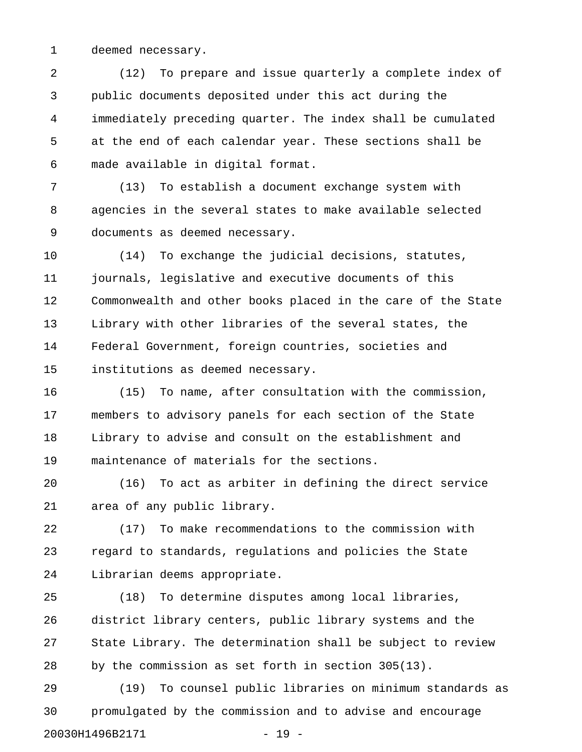1 deemed necessary.

2 (12) To prepare and issue quarterly a complete index of 3 public documents deposited under this act during the 4 immediately preceding quarter. The index shall be cumulated 5 at the end of each calendar year. These sections shall be 6 made available in digital format.

7 (13) To establish a document exchange system with 8 agencies in the several states to make available selected 9 documents as deemed necessary.

10 (14) To exchange the judicial decisions, statutes, 11 journals, legislative and executive documents of this 12 Commonwealth and other books placed in the care of the State 13 Library with other libraries of the several states, the 14 Federal Government, foreign countries, societies and 15 institutions as deemed necessary.

16 (15) To name, after consultation with the commission, 17 members to advisory panels for each section of the State 18 Library to advise and consult on the establishment and 19 maintenance of materials for the sections.

20 (16) To act as arbiter in defining the direct service 21 area of any public library.

22 (17) To make recommendations to the commission with 23 regard to standards, regulations and policies the State 24 Librarian deems appropriate.

25 (18) To determine disputes among local libraries, 26 district library centers, public library systems and the 27 State Library. The determination shall be subject to review 28 by the commission as set forth in section 305(13).

29 (19) To counsel public libraries on minimum standards as 30 promulgated by the commission and to advise and encourage 20030H1496B2171 - 19 -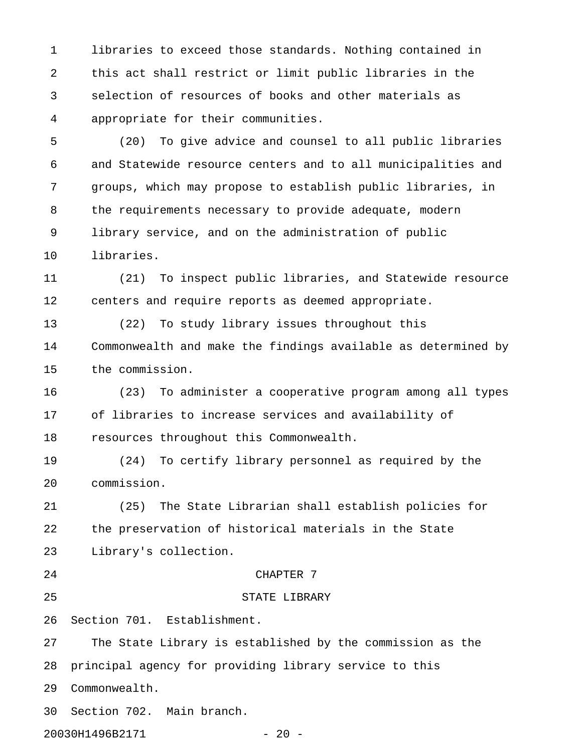1 libraries to exceed those standards. Nothing contained in 2 this act shall restrict or limit public libraries in the 3 selection of resources of books and other materials as 4 appropriate for their communities.

5 (20) To give advice and counsel to all public libraries 6 and Statewide resource centers and to all municipalities and 7 groups, which may propose to establish public libraries, in 8 the requirements necessary to provide adequate, modern 9 library service, and on the administration of public 10 libraries.

11 (21) To inspect public libraries, and Statewide resource 12 centers and require reports as deemed appropriate.

13 (22) To study library issues throughout this 14 Commonwealth and make the findings available as determined by 15 the commission.

16 (23) To administer a cooperative program among all types 17 of libraries to increase services and availability of 18 resources throughout this Commonwealth.

19 (24) To certify library personnel as required by the 20 commission.

21 (25) The State Librarian shall establish policies for 22 the preservation of historical materials in the State 23 Library's collection.

#### 24 CHAPTER 7

25 STATE LIBRARY

26 Section 701. Establishment.

27 The State Library is established by the commission as the 28 principal agency for providing library service to this 29 Commonwealth.

30 Section 702. Main branch.

20030H1496B2171 - 20 -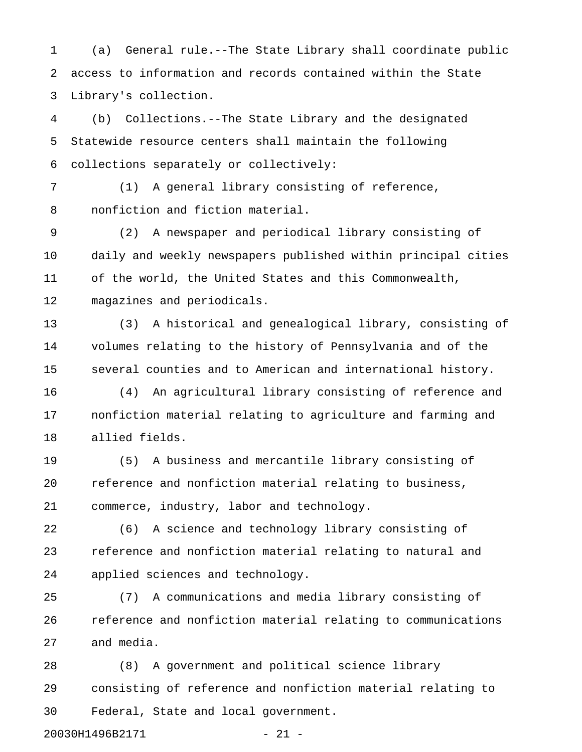1 (a) General rule.--The State Library shall coordinate public 2 access to information and records contained within the State 3 Library's collection.

4 (b) Collections.--The State Library and the designated 5 Statewide resource centers shall maintain the following 6 collections separately or collectively:

7 (1) A general library consisting of reference, 8 nonfiction and fiction material.

9 (2) A newspaper and periodical library consisting of 10 daily and weekly newspapers published within principal cities 11 of the world, the United States and this Commonwealth, 12 magazines and periodicals.

13 (3) A historical and genealogical library, consisting of 14 volumes relating to the history of Pennsylvania and of the 15 several counties and to American and international history.

16 (4) An agricultural library consisting of reference and 17 nonfiction material relating to agriculture and farming and 18 allied fields.

19 (5) A business and mercantile library consisting of 20 reference and nonfiction material relating to business, 21 commerce, industry, labor and technology.

22 (6) A science and technology library consisting of 23 reference and nonfiction material relating to natural and 24 applied sciences and technology.

25 (7) A communications and media library consisting of 26 reference and nonfiction material relating to communications 27 and media.

28 (8) A government and political science library 29 consisting of reference and nonfiction material relating to 30 Federal, State and local government.

20030H1496B2171 - 21 -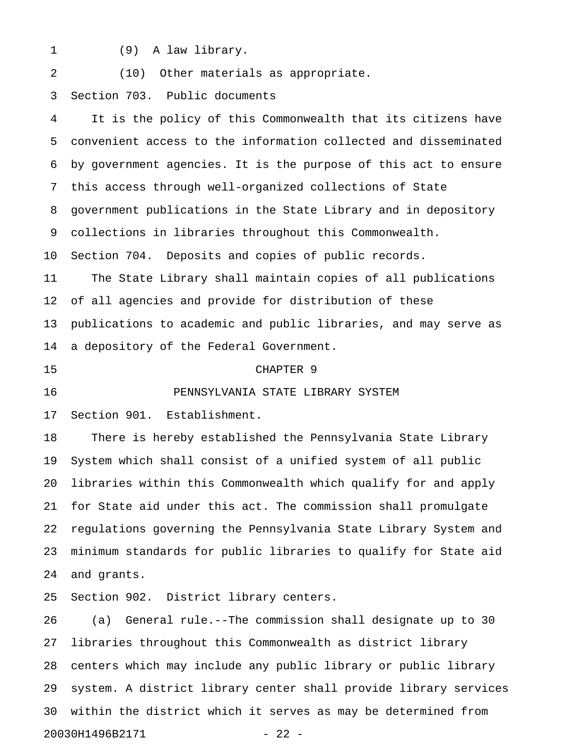- 
- 1 (9) A law library.

## 2 (10) Other materials as appropriate.

## 3 Section 703. Public documents

4 It is the policy of this Commonwealth that its citizens have 5 convenient access to the information collected and disseminated 6 by government agencies. It is the purpose of this act to ensure 7 this access through well-organized collections of State 8 government publications in the State Library and in depository 9 collections in libraries throughout this Commonwealth. 10 Section 704. Deposits and copies of public records. 11 The State Library shall maintain copies of all publications 12 of all agencies and provide for distribution of these 13 publications to academic and public libraries, and may serve as 14 a depository of the Federal Government. 15 CHAPTER 9 16 PENNSYLVANIA STATE LIBRARY SYSTEM 17 Section 901. Establishment. 18 There is hereby established the Pennsylvania State Library 19 System which shall consist of a unified system of all public 20 libraries within this Commonwealth which qualify for and apply 21 for State aid under this act. The commission shall promulgate 22 regulations governing the Pennsylvania State Library System and 23 minimum standards for public libraries to qualify for State aid 24 and grants.

25 Section 902. District library centers.

26 (a) General rule.--The commission shall designate up to 30 27 libraries throughout this Commonwealth as district library 28 centers which may include any public library or public library 29 system. A district library center shall provide library services 30 within the district which it serves as may be determined from 20030H1496B2171 - 22 -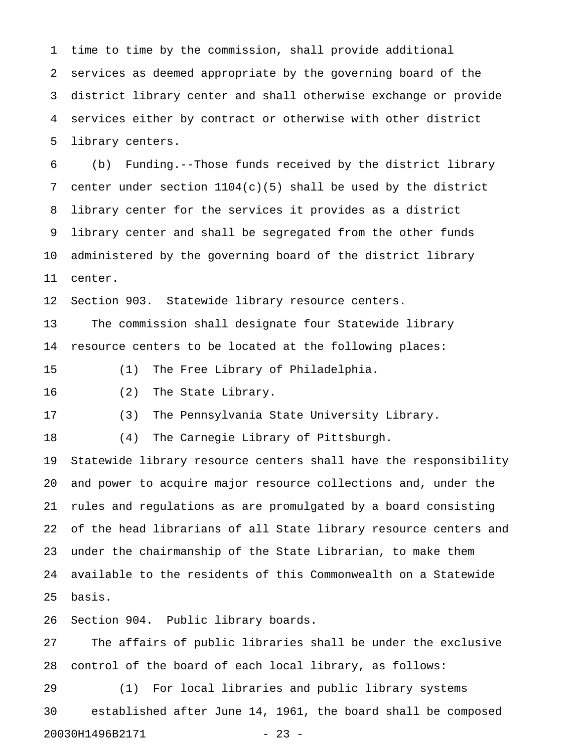1 time to time by the commission, shall provide additional 2 services as deemed appropriate by the governing board of the 3 district library center and shall otherwise exchange or provide 4 services either by contract or otherwise with other district 5 library centers.

6 (b) Funding.--Those funds received by the district library 7 center under section 1104(c)(5) shall be used by the district 8 library center for the services it provides as a district 9 library center and shall be segregated from the other funds 10 administered by the governing board of the district library 11 center.

12 Section 903. Statewide library resource centers.

13 The commission shall designate four Statewide library 14 resource centers to be located at the following places:

15 (1) The Free Library of Philadelphia.

16 (2) The State Library.

17 (3) The Pennsylvania State University Library.

18 (4) The Carnegie Library of Pittsburgh.

19 Statewide library resource centers shall have the responsibility 20 and power to acquire major resource collections and, under the 21 rules and regulations as are promulgated by a board consisting 22 of the head librarians of all State library resource centers and 23 under the chairmanship of the State Librarian, to make them 24 available to the residents of this Commonwealth on a Statewide 25 basis.

26 Section 904. Public library boards.

27 The affairs of public libraries shall be under the exclusive 28 control of the board of each local library, as follows:

29 (1) For local libraries and public library systems 30 established after June 14, 1961, the board shall be composed 20030H1496B2171 - 23 -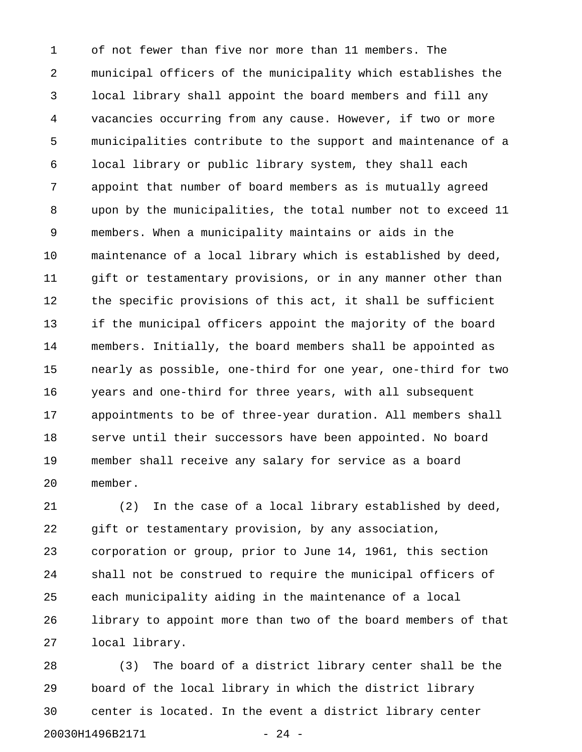1 of not fewer than five nor more than 11 members. The 2 municipal officers of the municipality which establishes the 3 local library shall appoint the board members and fill any 4 vacancies occurring from any cause. However, if two or more 5 municipalities contribute to the support and maintenance of a 6 local library or public library system, they shall each 7 appoint that number of board members as is mutually agreed 8 upon by the municipalities, the total number not to exceed 11 9 members. When a municipality maintains or aids in the 10 maintenance of a local library which is established by deed, 11 gift or testamentary provisions, or in any manner other than 12 the specific provisions of this act, it shall be sufficient 13 if the municipal officers appoint the majority of the board 14 members. Initially, the board members shall be appointed as 15 nearly as possible, one-third for one year, one-third for two 16 years and one-third for three years, with all subsequent 17 appointments to be of three-year duration. All members shall 18 serve until their successors have been appointed. No board 19 member shall receive any salary for service as a board 20 member.

21 (2) In the case of a local library established by deed, 22 gift or testamentary provision, by any association, 23 corporation or group, prior to June 14, 1961, this section 24 shall not be construed to require the municipal officers of 25 each municipality aiding in the maintenance of a local 26 library to appoint more than two of the board members of that 27 local library.

28 (3) The board of a district library center shall be the 29 board of the local library in which the district library 30 center is located. In the event a district library center 20030H1496B2171 - 24 -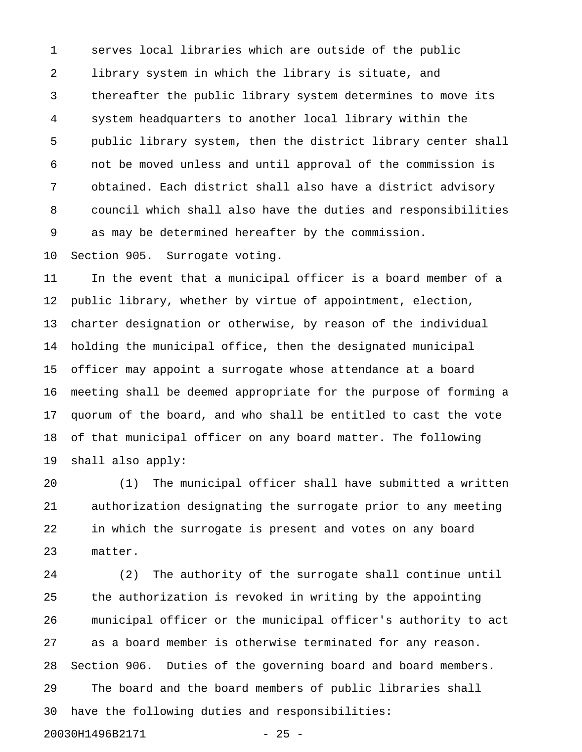1 serves local libraries which are outside of the public 2 library system in which the library is situate, and 3 thereafter the public library system determines to move its 4 system headquarters to another local library within the 5 public library system, then the district library center shall 6 not be moved unless and until approval of the commission is 7 obtained. Each district shall also have a district advisory 8 council which shall also have the duties and responsibilities 9 as may be determined hereafter by the commission.

10 Section 905. Surrogate voting.

11 In the event that a municipal officer is a board member of a 12 public library, whether by virtue of appointment, election, 13 charter designation or otherwise, by reason of the individual 14 holding the municipal office, then the designated municipal 15 officer may appoint a surrogate whose attendance at a board 16 meeting shall be deemed appropriate for the purpose of forming a 17 quorum of the board, and who shall be entitled to cast the vote 18 of that municipal officer on any board matter. The following 19 shall also apply:

20 (1) The municipal officer shall have submitted a written 21 authorization designating the surrogate prior to any meeting 22 in which the surrogate is present and votes on any board 23 matter.

24 (2) The authority of the surrogate shall continue until 25 the authorization is revoked in writing by the appointing 26 municipal officer or the municipal officer's authority to act 27 as a board member is otherwise terminated for any reason. 28 Section 906. Duties of the governing board and board members. 29 The board and the board members of public libraries shall 30 have the following duties and responsibilities: 20030H1496B2171 - 25 -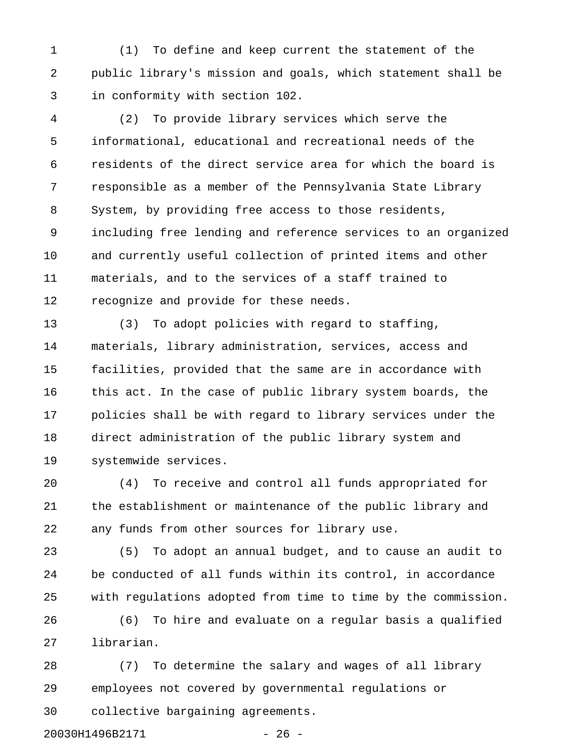1 (1) To define and keep current the statement of the 2 public library's mission and goals, which statement shall be 3 in conformity with section 102.

4 (2) To provide library services which serve the 5 informational, educational and recreational needs of the 6 residents of the direct service area for which the board is 7 responsible as a member of the Pennsylvania State Library 8 System, by providing free access to those residents, 9 including free lending and reference services to an organized 10 and currently useful collection of printed items and other 11 materials, and to the services of a staff trained to 12 recognize and provide for these needs.

13 (3) To adopt policies with regard to staffing, 14 materials, library administration, services, access and 15 facilities, provided that the same are in accordance with 16 this act. In the case of public library system boards, the 17 policies shall be with regard to library services under the 18 direct administration of the public library system and 19 systemwide services.

20 (4) To receive and control all funds appropriated for 21 the establishment or maintenance of the public library and 22 any funds from other sources for library use.

23 (5) To adopt an annual budget, and to cause an audit to 24 be conducted of all funds within its control, in accordance 25 with regulations adopted from time to time by the commission.

26 (6) To hire and evaluate on a regular basis a qualified 27 librarian.

28 (7) To determine the salary and wages of all library 29 employees not covered by governmental regulations or 30 collective bargaining agreements.

20030H1496B2171 - 26 -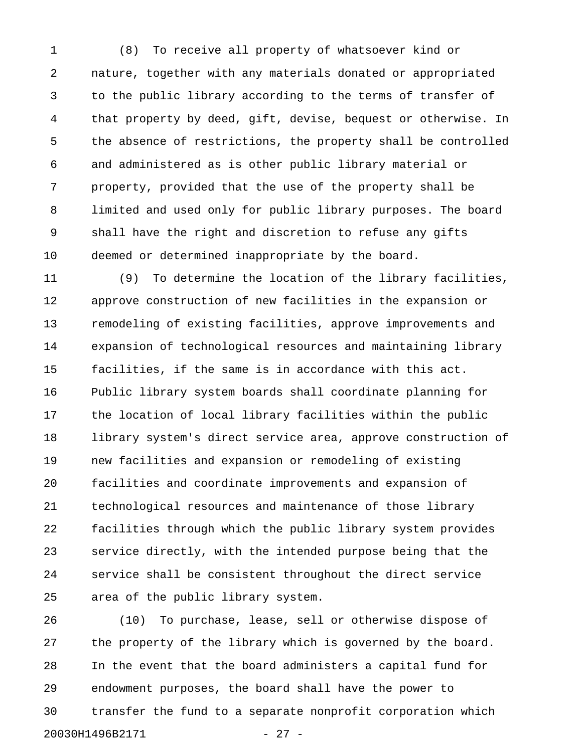1 (8) To receive all property of whatsoever kind or 2 nature, together with any materials donated or appropriated 3 to the public library according to the terms of transfer of 4 that property by deed, gift, devise, bequest or otherwise. In 5 the absence of restrictions, the property shall be controlled 6 and administered as is other public library material or 7 property, provided that the use of the property shall be 8 limited and used only for public library purposes. The board 9 shall have the right and discretion to refuse any gifts 10 deemed or determined inappropriate by the board.

11 (9) To determine the location of the library facilities, 12 approve construction of new facilities in the expansion or 13 remodeling of existing facilities, approve improvements and 14 expansion of technological resources and maintaining library 15 facilities, if the same is in accordance with this act. 16 Public library system boards shall coordinate planning for 17 the location of local library facilities within the public 18 library system's direct service area, approve construction of 19 new facilities and expansion or remodeling of existing 20 facilities and coordinate improvements and expansion of 21 technological resources and maintenance of those library 22 facilities through which the public library system provides 23 service directly, with the intended purpose being that the 24 service shall be consistent throughout the direct service 25 area of the public library system.

26 (10) To purchase, lease, sell or otherwise dispose of 27 the property of the library which is governed by the board. 28 In the event that the board administers a capital fund for 29 endowment purposes, the board shall have the power to 30 transfer the fund to a separate nonprofit corporation which 20030H1496B2171 - 27 -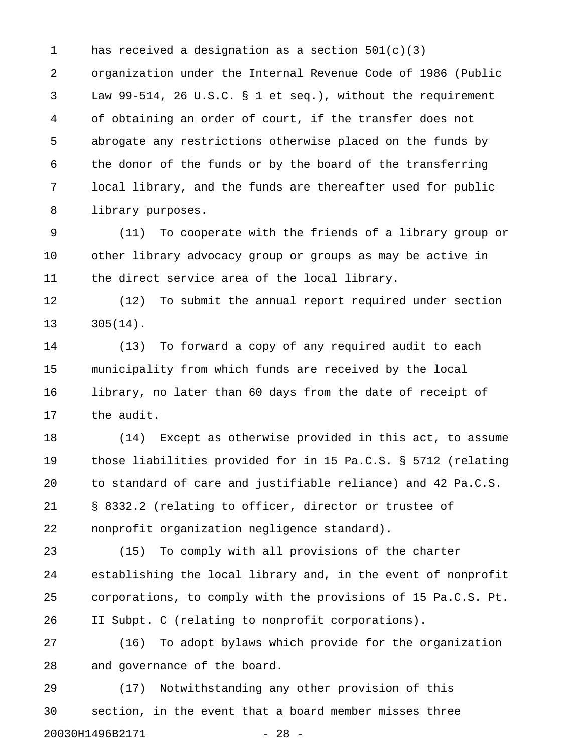1 has received a designation as a section  $501(c)(3)$ 

2 organization under the Internal Revenue Code of 1986 (Public 3 Law 99-514, 26 U.S.C. § 1 et seq.), without the requirement 4 of obtaining an order of court, if the transfer does not 5 abrogate any restrictions otherwise placed on the funds by 6 the donor of the funds or by the board of the transferring 7 local library, and the funds are thereafter used for public 8 library purposes.

9 (11) To cooperate with the friends of a library group or 10 other library advocacy group or groups as may be active in 11 the direct service area of the local library.

12 (12) To submit the annual report required under section 13 305(14).

14 (13) To forward a copy of any required audit to each 15 municipality from which funds are received by the local 16 library, no later than 60 days from the date of receipt of 17 the audit.

18 (14) Except as otherwise provided in this act, to assume 19 those liabilities provided for in 15 Pa.C.S. § 5712 (relating 20 to standard of care and justifiable reliance) and 42 Pa.C.S. 21 § 8332.2 (relating to officer, director or trustee of 22 nonprofit organization negligence standard).

23 (15) To comply with all provisions of the charter 24 establishing the local library and, in the event of nonprofit 25 corporations, to comply with the provisions of 15 Pa.C.S. Pt. 26 II Subpt. C (relating to nonprofit corporations).

27 (16) To adopt bylaws which provide for the organization 28 and governance of the board.

29 (17) Notwithstanding any other provision of this 30 section, in the event that a board member misses three 20030H1496B2171 - 28 -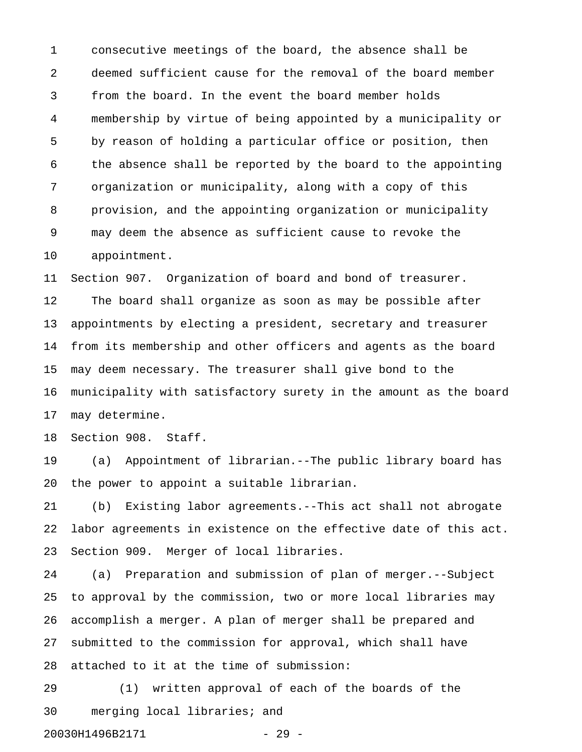1 consecutive meetings of the board, the absence shall be 2 deemed sufficient cause for the removal of the board member 3 from the board. In the event the board member holds 4 membership by virtue of being appointed by a municipality or 5 by reason of holding a particular office or position, then 6 the absence shall be reported by the board to the appointing 7 organization or municipality, along with a copy of this 8 provision, and the appointing organization or municipality 9 may deem the absence as sufficient cause to revoke the 10 appointment.

11 Section 907. Organization of board and bond of treasurer. 12 The board shall organize as soon as may be possible after 13 appointments by electing a president, secretary and treasurer 14 from its membership and other officers and agents as the board 15 may deem necessary. The treasurer shall give bond to the 16 municipality with satisfactory surety in the amount as the board 17 may determine.

18 Section 908. Staff.

19 (a) Appointment of librarian.--The public library board has 20 the power to appoint a suitable librarian.

21 (b) Existing labor agreements.--This act shall not abrogate 22 labor agreements in existence on the effective date of this act. 23 Section 909. Merger of local libraries.

24 (a) Preparation and submission of plan of merger.--Subject 25 to approval by the commission, two or more local libraries may 26 accomplish a merger. A plan of merger shall be prepared and 27 submitted to the commission for approval, which shall have 28 attached to it at the time of submission:

29 (1) written approval of each of the boards of the 30 merging local libraries; and 20030H1496B2171 - 29 -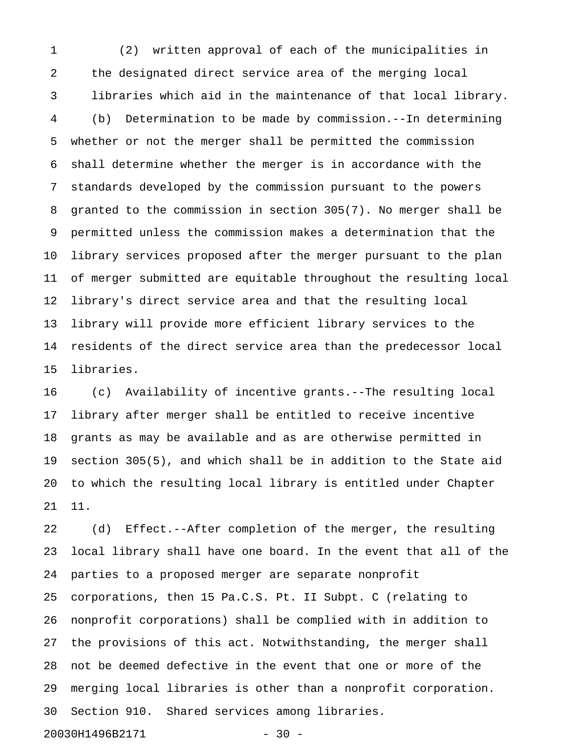1 (2) written approval of each of the municipalities in 2 the designated direct service area of the merging local 3 libraries which aid in the maintenance of that local library. 4 (b) Determination to be made by commission.--In determining 5 whether or not the merger shall be permitted the commission 6 shall determine whether the merger is in accordance with the 7 standards developed by the commission pursuant to the powers 8 granted to the commission in section 305(7). No merger shall be 9 permitted unless the commission makes a determination that the 10 library services proposed after the merger pursuant to the plan 11 of merger submitted are equitable throughout the resulting local 12 library's direct service area and that the resulting local 13 library will provide more efficient library services to the 14 residents of the direct service area than the predecessor local 15 libraries.

16 (c) Availability of incentive grants.--The resulting local 17 library after merger shall be entitled to receive incentive 18 grants as may be available and as are otherwise permitted in 19 section 305(5), and which shall be in addition to the State aid 20 to which the resulting local library is entitled under Chapter 21 11.

22 (d) Effect.--After completion of the merger, the resulting 23 local library shall have one board. In the event that all of the 24 parties to a proposed merger are separate nonprofit 25 corporations, then 15 Pa.C.S. Pt. II Subpt. C (relating to 26 nonprofit corporations) shall be complied with in addition to 27 the provisions of this act. Notwithstanding, the merger shall 28 not be deemed defective in the event that one or more of the 29 merging local libraries is other than a nonprofit corporation. 30 Section 910. Shared services among libraries.

20030H1496B2171 - 30 -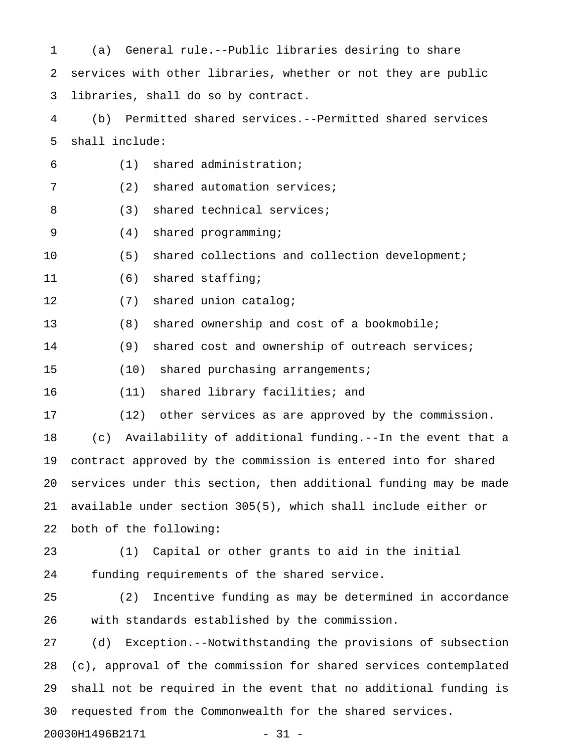1 (a) General rule.--Public libraries desiring to share 2 services with other libraries, whether or not they are public 3 libraries, shall do so by contract. 4 (b) Permitted shared services.--Permitted shared services 5 shall include: 6 (1) shared administration; 7 (2) shared automation services; 8 (3) shared technical services; 9 (4) shared programming; 10 (5) shared collections and collection development; 11 (6) shared staffing; 12 (7) shared union catalog; 13 (8) shared ownership and cost of a bookmobile; 14 (9) shared cost and ownership of outreach services; 15 (10) shared purchasing arrangements; 16 (11) shared library facilities; and 17 (12) other services as are approved by the commission. 18 (c) Availability of additional funding.--In the event that a 19 contract approved by the commission is entered into for shared 20 services under this section, then additional funding may be made 21 available under section 305(5), which shall include either or 22 both of the following: 23 (1) Capital or other grants to aid in the initial 24 funding requirements of the shared service. 25 (2) Incentive funding as may be determined in accordance 26 with standards established by the commission. 27 (d) Exception.--Notwithstanding the provisions of subsection 28 (c), approval of the commission for shared services contemplated 29 shall not be required in the event that no additional funding is 30 requested from the Commonwealth for the shared services. 20030H1496B2171 - 31 -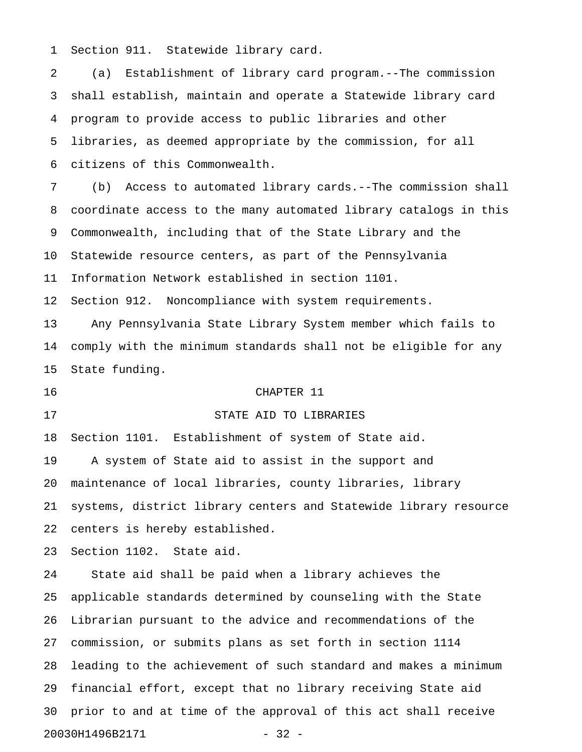1 Section 911. Statewide library card.

2 (a) Establishment of library card program.--The commission 3 shall establish, maintain and operate a Statewide library card 4 program to provide access to public libraries and other 5 libraries, as deemed appropriate by the commission, for all 6 citizens of this Commonwealth.

7 (b) Access to automated library cards.--The commission shall 8 coordinate access to the many automated library catalogs in this 9 Commonwealth, including that of the State Library and the 10 Statewide resource centers, as part of the Pennsylvania 11 Information Network established in section 1101.

12 Section 912. Noncompliance with system requirements.

13 Any Pennsylvania State Library System member which fails to 14 comply with the minimum standards shall not be eligible for any 15 State funding.

#### 16 CHAPTER 11

## 17 STATE AID TO LIBRARIES

18 Section 1101. Establishment of system of State aid.

19 A system of State aid to assist in the support and 20 maintenance of local libraries, county libraries, library 21 systems, district library centers and Statewide library resource 22 centers is hereby established.

23 Section 1102. State aid.

24 State aid shall be paid when a library achieves the 25 applicable standards determined by counseling with the State 26 Librarian pursuant to the advice and recommendations of the 27 commission, or submits plans as set forth in section 1114 28 leading to the achievement of such standard and makes a minimum 29 financial effort, except that no library receiving State aid 30 prior to and at time of the approval of this act shall receive 20030H1496B2171 - 32 -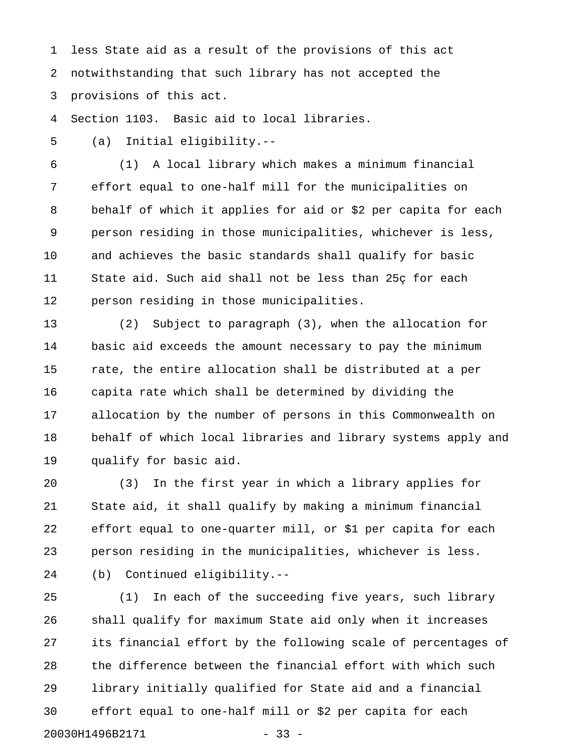1 less State aid as a result of the provisions of this act 2 notwithstanding that such library has not accepted the 3 provisions of this act.

4 Section 1103. Basic aid to local libraries.

5 (a) Initial eligibility.--

6 (1) A local library which makes a minimum financial 7 effort equal to one-half mill for the municipalities on 8 behalf of which it applies for aid or \$2 per capita for each 9 person residing in those municipalities, whichever is less, 10 and achieves the basic standards shall qualify for basic 11 State aid. Such aid shall not be less than 25ç for each 12 person residing in those municipalities.

13 (2) Subject to paragraph (3), when the allocation for 14 basic aid exceeds the amount necessary to pay the minimum 15 rate, the entire allocation shall be distributed at a per 16 capita rate which shall be determined by dividing the 17 allocation by the number of persons in this Commonwealth on 18 behalf of which local libraries and library systems apply and 19 qualify for basic aid.

20 (3) In the first year in which a library applies for 21 State aid, it shall qualify by making a minimum financial 22 effort equal to one-quarter mill, or \$1 per capita for each 23 person residing in the municipalities, whichever is less. 24 (b) Continued eligibility.--

25 (1) In each of the succeeding five years, such library 26 shall qualify for maximum State aid only when it increases 27 its financial effort by the following scale of percentages of 28 the difference between the financial effort with which such 29 library initially qualified for State aid and a financial 30 effort equal to one-half mill or \$2 per capita for each 20030H1496B2171 - 33 -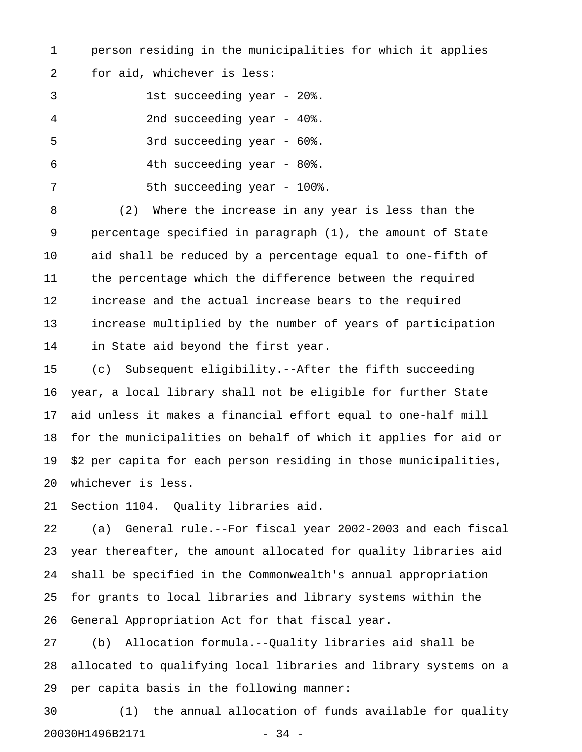1 person residing in the municipalities for which it applies

2 for aid, whichever is less:

3 1st succeeding year - 20%.

4 2nd succeeding year - 40%.

5 3rd succeeding year - 60%.

6 4th succeeding year - 80%.

7 5th succeeding year - 100%.

8 (2) Where the increase in any year is less than the 9 percentage specified in paragraph (1), the amount of State 10 aid shall be reduced by a percentage equal to one-fifth of 11 the percentage which the difference between the required 12 increase and the actual increase bears to the required 13 increase multiplied by the number of years of participation 14 in State aid beyond the first year.

15 (c) Subsequent eligibility.--After the fifth succeeding 16 year, a local library shall not be eligible for further State 17 aid unless it makes a financial effort equal to one-half mill 18 for the municipalities on behalf of which it applies for aid or 19 \$2 per capita for each person residing in those municipalities, 20 whichever is less.

21 Section 1104. Quality libraries aid.

22 (a) General rule.--For fiscal year 2002-2003 and each fiscal 23 year thereafter, the amount allocated for quality libraries aid 24 shall be specified in the Commonwealth's annual appropriation 25 for grants to local libraries and library systems within the 26 General Appropriation Act for that fiscal year.

27 (b) Allocation formula.--Quality libraries aid shall be 28 allocated to qualifying local libraries and library systems on a 29 per capita basis in the following manner:

30 (1) the annual allocation of funds available for quality 20030H1496B2171 - 34 -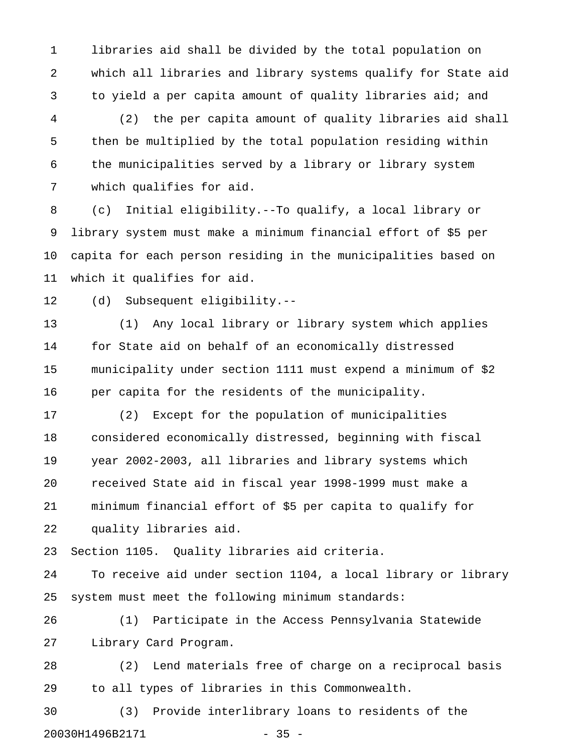1 libraries aid shall be divided by the total population on 2 which all libraries and library systems qualify for State aid 3 to yield a per capita amount of quality libraries aid; and

4 (2) the per capita amount of quality libraries aid shall 5 then be multiplied by the total population residing within 6 the municipalities served by a library or library system 7 which qualifies for aid.

8 (c) Initial eligibility.--To qualify, a local library or 9 library system must make a minimum financial effort of \$5 per 10 capita for each person residing in the municipalities based on 11 which it qualifies for aid.

12 (d) Subsequent eligibility.--

13 (1) Any local library or library system which applies 14 for State aid on behalf of an economically distressed 15 municipality under section 1111 must expend a minimum of \$2 16 per capita for the residents of the municipality.

17 (2) Except for the population of municipalities 18 considered economically distressed, beginning with fiscal 19 year 2002-2003, all libraries and library systems which 20 received State aid in fiscal year 1998-1999 must make a 21 minimum financial effort of \$5 per capita to qualify for 22 quality libraries aid.

23 Section 1105. Quality libraries aid criteria.

24 To receive aid under section 1104, a local library or library 25 system must meet the following minimum standards:

26 (1) Participate in the Access Pennsylvania Statewide 27 Library Card Program.

28 (2) Lend materials free of charge on a reciprocal basis 29 to all types of libraries in this Commonwealth.

30 (3) Provide interlibrary loans to residents of the 20030H1496B2171 - 35 -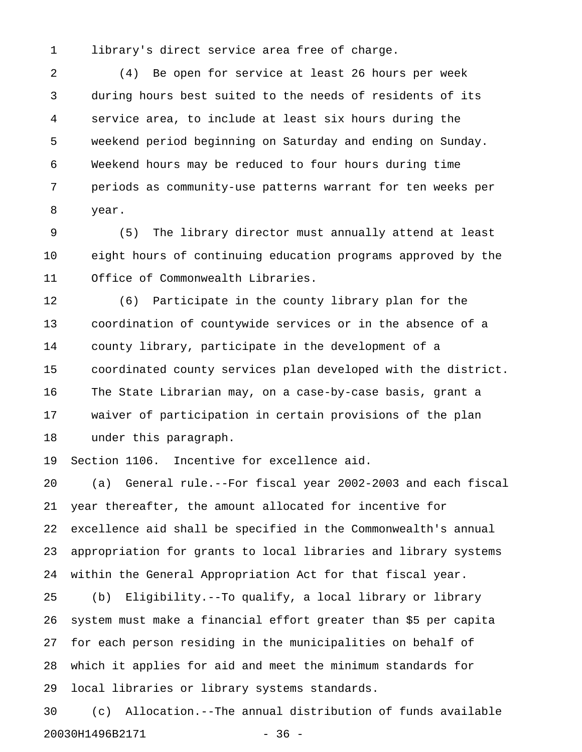1 library's direct service area free of charge.

2 (4) Be open for service at least 26 hours per week 3 during hours best suited to the needs of residents of its 4 service area, to include at least six hours during the 5 weekend period beginning on Saturday and ending on Sunday. 6 Weekend hours may be reduced to four hours during time 7 periods as community-use patterns warrant for ten weeks per 8 year.

9 (5) The library director must annually attend at least 10 eight hours of continuing education programs approved by the 11 Office of Commonwealth Libraries.

12 (6) Participate in the county library plan for the 13 coordination of countywide services or in the absence of a 14 county library, participate in the development of a 15 coordinated county services plan developed with the district. 16 The State Librarian may, on a case-by-case basis, grant a 17 waiver of participation in certain provisions of the plan 18 under this paragraph.

19 Section 1106. Incentive for excellence aid.

20 (a) General rule.--For fiscal year 2002-2003 and each fiscal 21 year thereafter, the amount allocated for incentive for 22 excellence aid shall be specified in the Commonwealth's annual 23 appropriation for grants to local libraries and library systems 24 within the General Appropriation Act for that fiscal year.

25 (b) Eligibility.--To qualify, a local library or library 26 system must make a financial effort greater than \$5 per capita 27 for each person residing in the municipalities on behalf of 28 which it applies for aid and meet the minimum standards for 29 local libraries or library systems standards.

30 (c) Allocation.--The annual distribution of funds available 20030H1496B2171 - 36 -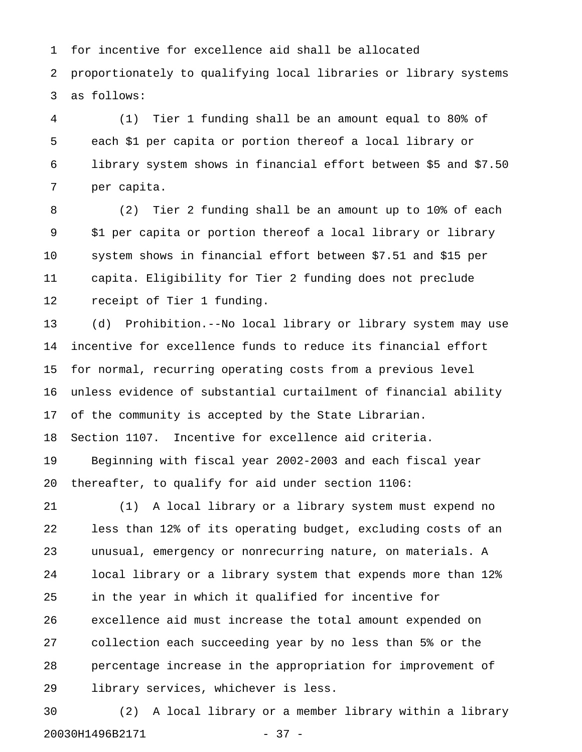1 for incentive for excellence aid shall be allocated 2 proportionately to qualifying local libraries or library systems 3 as follows:

4 (1) Tier 1 funding shall be an amount equal to 80% of 5 each \$1 per capita or portion thereof a local library or 6 library system shows in financial effort between \$5 and \$7.50 7 per capita.

8 (2) Tier 2 funding shall be an amount up to 10% of each 9 \$1 per capita or portion thereof a local library or library 10 system shows in financial effort between \$7.51 and \$15 per 11 capita. Eligibility for Tier 2 funding does not preclude 12 receipt of Tier 1 funding.

13 (d) Prohibition.--No local library or library system may use 14 incentive for excellence funds to reduce its financial effort 15 for normal, recurring operating costs from a previous level 16 unless evidence of substantial curtailment of financial ability 17 of the community is accepted by the State Librarian.

18 Section 1107. Incentive for excellence aid criteria.

19 Beginning with fiscal year 2002-2003 and each fiscal year 20 thereafter, to qualify for aid under section 1106:

21 (1) A local library or a library system must expend no 22 less than 12% of its operating budget, excluding costs of an 23 unusual, emergency or nonrecurring nature, on materials. A 24 local library or a library system that expends more than 12% 25 in the year in which it qualified for incentive for 26 excellence aid must increase the total amount expended on 27 collection each succeeding year by no less than 5% or the 28 percentage increase in the appropriation for improvement of 29 library services, whichever is less.

30 (2) A local library or a member library within a library 20030H1496B2171 - 37 -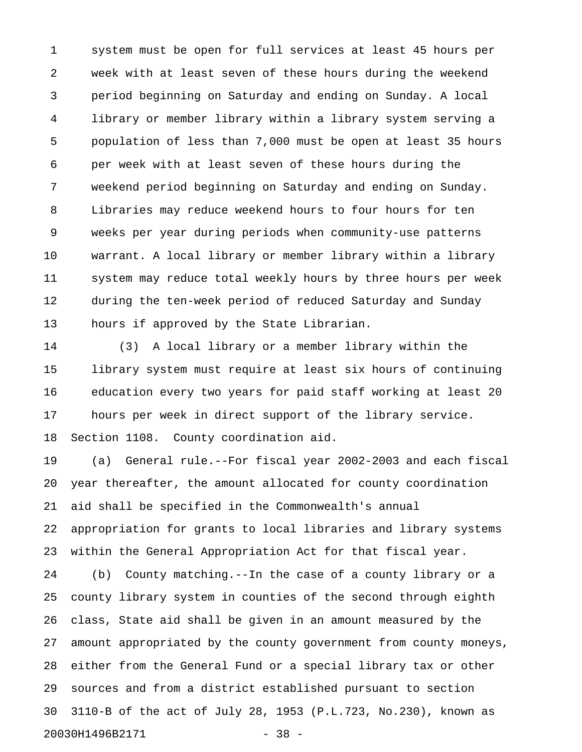1 system must be open for full services at least 45 hours per 2 week with at least seven of these hours during the weekend 3 period beginning on Saturday and ending on Sunday. A local 4 library or member library within a library system serving a 5 population of less than 7,000 must be open at least 35 hours 6 per week with at least seven of these hours during the 7 weekend period beginning on Saturday and ending on Sunday. 8 Libraries may reduce weekend hours to four hours for ten 9 weeks per year during periods when community-use patterns 10 warrant. A local library or member library within a library 11 system may reduce total weekly hours by three hours per week 12 during the ten-week period of reduced Saturday and Sunday 13 hours if approved by the State Librarian.

14 (3) A local library or a member library within the 15 library system must require at least six hours of continuing 16 education every two years for paid staff working at least 20 17 hours per week in direct support of the library service. 18 Section 1108. County coordination aid.

19 (a) General rule.--For fiscal year 2002-2003 and each fiscal 20 year thereafter, the amount allocated for county coordination 21 aid shall be specified in the Commonwealth's annual 22 appropriation for grants to local libraries and library systems 23 within the General Appropriation Act for that fiscal year.

24 (b) County matching.--In the case of a county library or a 25 county library system in counties of the second through eighth 26 class, State aid shall be given in an amount measured by the 27 amount appropriated by the county government from county moneys, 28 either from the General Fund or a special library tax or other 29 sources and from a district established pursuant to section 30 3110-B of the act of July 28, 1953 (P.L.723, No.230), known as 20030H1496B2171 - 38 -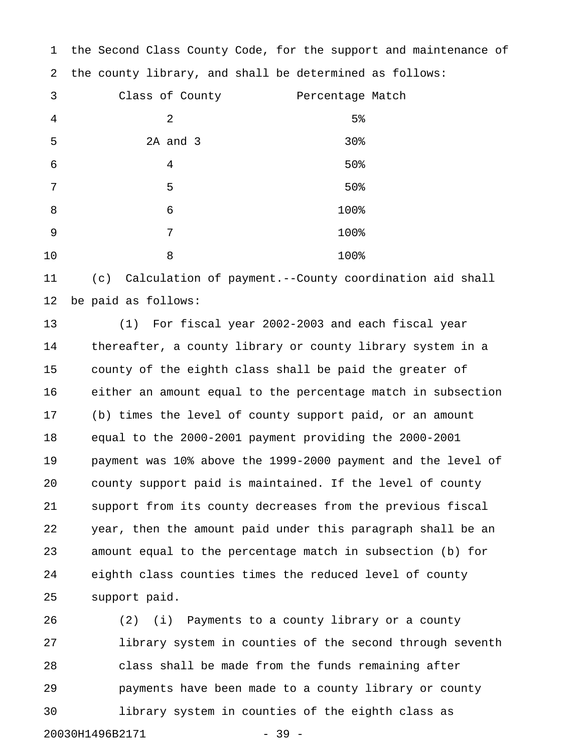1 the Second Class County Code, for the support and maintenance of 2 the county library, and shall be determined as follows: 3 Class of County Percentage Match 4 2 5% 5 2A and 3 30%  $6$  50%  $7$  5 5 5 5 5 5 5 5 5 5 5 6 % 8 6 100% 9 7 100% 10 8 100%

11 (c) Calculation of payment.--County coordination aid shall 12 be paid as follows:

13 (1) For fiscal year 2002-2003 and each fiscal year 14 thereafter, a county library or county library system in a 15 county of the eighth class shall be paid the greater of 16 either an amount equal to the percentage match in subsection 17 (b) times the level of county support paid, or an amount 18 equal to the 2000-2001 payment providing the 2000-2001 19 payment was 10% above the 1999-2000 payment and the level of 20 county support paid is maintained. If the level of county 21 support from its county decreases from the previous fiscal 22 year, then the amount paid under this paragraph shall be an 23 amount equal to the percentage match in subsection (b) for 24 eighth class counties times the reduced level of county 25 support paid.

26 (2) (i) Payments to a county library or a county 27 library system in counties of the second through seventh 28 class shall be made from the funds remaining after 29 payments have been made to a county library or county 30 library system in counties of the eighth class as 20030H1496B2171 - 39 -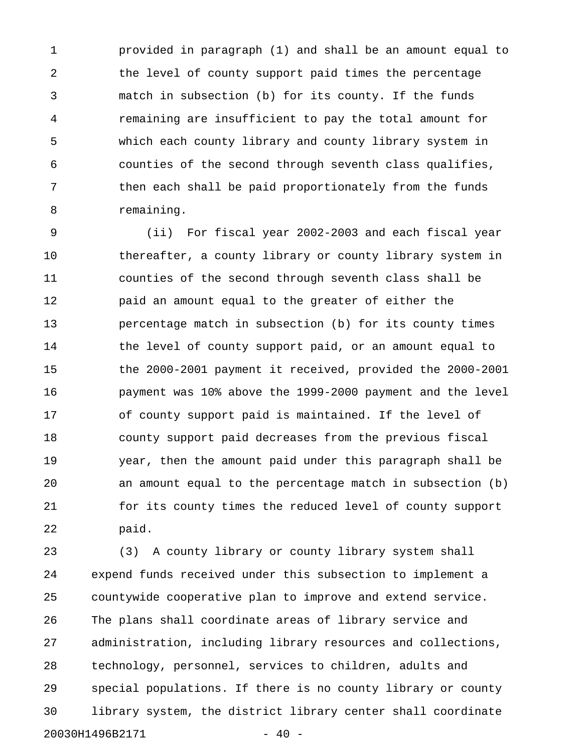1 provided in paragraph (1) and shall be an amount equal to 2 the level of county support paid times the percentage 3 match in subsection (b) for its county. If the funds 4 remaining are insufficient to pay the total amount for 5 which each county library and county library system in 6 counties of the second through seventh class qualifies, 7 then each shall be paid proportionately from the funds 8 remaining.

9 (ii) For fiscal year 2002-2003 and each fiscal year 10 thereafter, a county library or county library system in 11 counties of the second through seventh class shall be 12 paid an amount equal to the greater of either the 13 percentage match in subsection (b) for its county times 14 the level of county support paid, or an amount equal to 15 the 2000-2001 payment it received, provided the 2000-2001 16 payment was 10% above the 1999-2000 payment and the level 17 of county support paid is maintained. If the level of 18 county support paid decreases from the previous fiscal 19 year, then the amount paid under this paragraph shall be 20 an amount equal to the percentage match in subsection (b) 21 for its county times the reduced level of county support 22 paid.

23 (3) A county library or county library system shall 24 expend funds received under this subsection to implement a 25 countywide cooperative plan to improve and extend service. 26 The plans shall coordinate areas of library service and 27 administration, including library resources and collections, 28 technology, personnel, services to children, adults and 29 special populations. If there is no county library or county 30 library system, the district library center shall coordinate 20030H1496B2171 - 40 -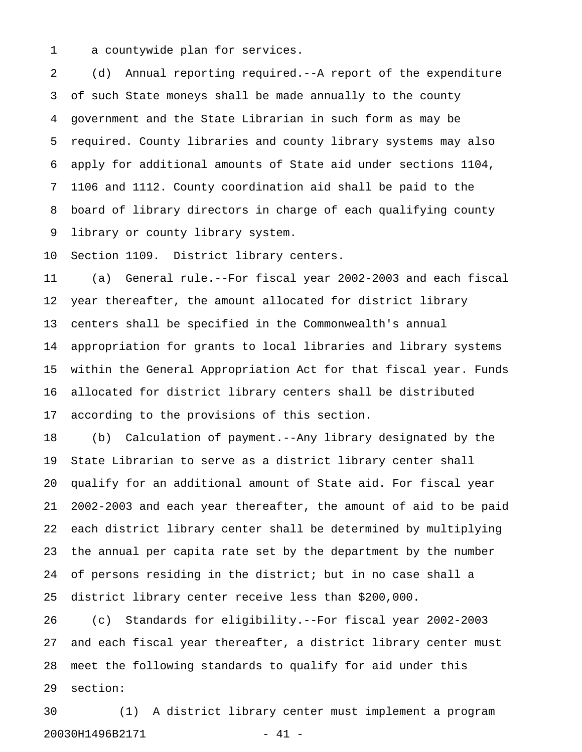1 a countywide plan for services.

2 (d) Annual reporting required.--A report of the expenditure 3 of such State moneys shall be made annually to the county 4 government and the State Librarian in such form as may be 5 required. County libraries and county library systems may also 6 apply for additional amounts of State aid under sections 1104, 7 1106 and 1112. County coordination aid shall be paid to the 8 board of library directors in charge of each qualifying county 9 library or county library system.

10 Section 1109. District library centers.

11 (a) General rule.--For fiscal year 2002-2003 and each fiscal 12 year thereafter, the amount allocated for district library 13 centers shall be specified in the Commonwealth's annual 14 appropriation for grants to local libraries and library systems 15 within the General Appropriation Act for that fiscal year. Funds 16 allocated for district library centers shall be distributed 17 according to the provisions of this section.

18 (b) Calculation of payment.--Any library designated by the 19 State Librarian to serve as a district library center shall 20 qualify for an additional amount of State aid. For fiscal year 21 2002-2003 and each year thereafter, the amount of aid to be paid 22 each district library center shall be determined by multiplying 23 the annual per capita rate set by the department by the number 24 of persons residing in the district; but in no case shall a 25 district library center receive less than \$200,000.

26 (c) Standards for eligibility.--For fiscal year 2002-2003 27 and each fiscal year thereafter, a district library center must 28 meet the following standards to qualify for aid under this 29 section:

30 (1) A district library center must implement a program 20030H1496B2171 - 41 -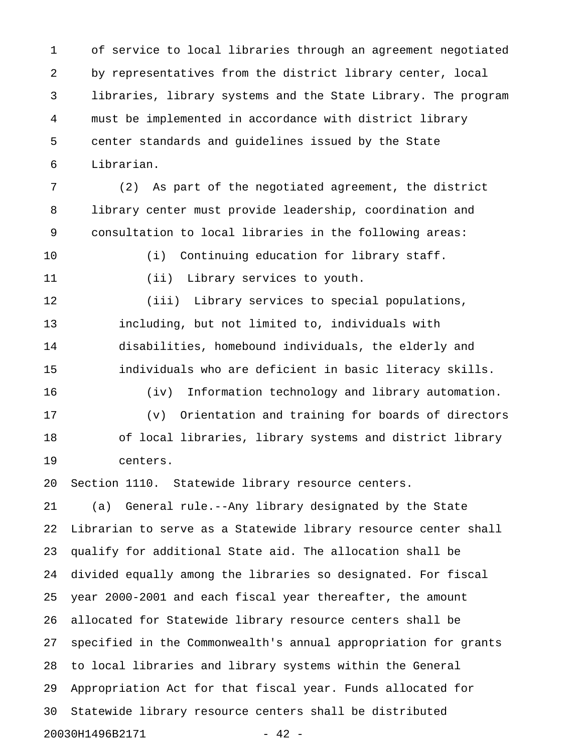1 of service to local libraries through an agreement negotiated 2 by representatives from the district library center, local 3 libraries, library systems and the State Library. The program 4 must be implemented in accordance with district library 5 center standards and guidelines issued by the State 6 Librarian.

7 (2) As part of the negotiated agreement, the district 8 library center must provide leadership, coordination and 9 consultation to local libraries in the following areas:

10 (i) Continuing education for library staff.

11 (ii) Library services to youth.

12 (iii) Library services to special populations, 13 including, but not limited to, individuals with 14 disabilities, homebound individuals, the elderly and 15 individuals who are deficient in basic literacy skills.

16 (iv) Information technology and library automation. 17 (v) Orientation and training for boards of directors 18 of local libraries, library systems and district library 19 centers.

20 Section 1110. Statewide library resource centers.

21 (a) General rule.--Any library designated by the State 22 Librarian to serve as a Statewide library resource center shall 23 qualify for additional State aid. The allocation shall be 24 divided equally among the libraries so designated. For fiscal 25 year 2000-2001 and each fiscal year thereafter, the amount 26 allocated for Statewide library resource centers shall be 27 specified in the Commonwealth's annual appropriation for grants 28 to local libraries and library systems within the General 29 Appropriation Act for that fiscal year. Funds allocated for 30 Statewide library resource centers shall be distributed 20030H1496B2171 - 42 -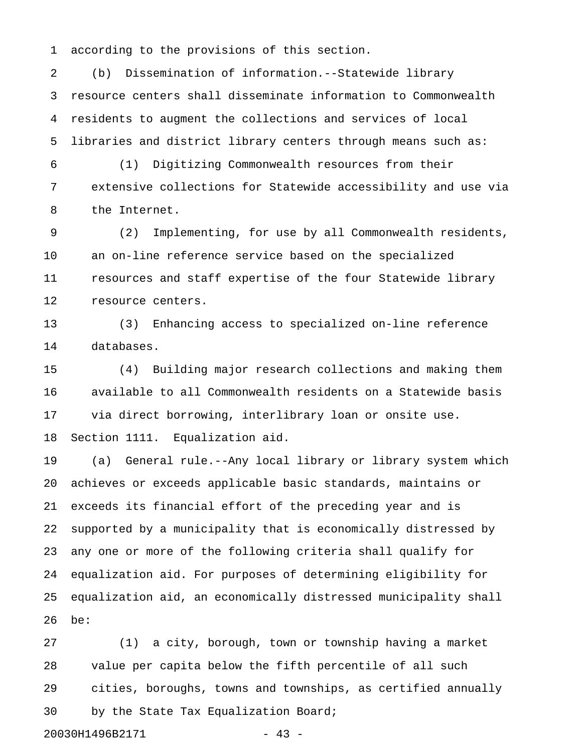1 according to the provisions of this section.

2 (b) Dissemination of information.--Statewide library 3 resource centers shall disseminate information to Commonwealth 4 residents to augment the collections and services of local 5 libraries and district library centers through means such as:

6 (1) Digitizing Commonwealth resources from their 7 extensive collections for Statewide accessibility and use via 8 the Internet.

9 (2) Implementing, for use by all Commonwealth residents, 10 an on-line reference service based on the specialized 11 resources and staff expertise of the four Statewide library 12 resource centers.

13 (3) Enhancing access to specialized on-line reference 14 databases.

15 (4) Building major research collections and making them 16 available to all Commonwealth residents on a Statewide basis 17 via direct borrowing, interlibrary loan or onsite use. 18 Section 1111. Equalization aid.

19 (a) General rule.--Any local library or library system which 20 achieves or exceeds applicable basic standards, maintains or 21 exceeds its financial effort of the preceding year and is 22 supported by a municipality that is economically distressed by 23 any one or more of the following criteria shall qualify for 24 equalization aid. For purposes of determining eligibility for 25 equalization aid, an economically distressed municipality shall 26 be:

27 (1) a city, borough, town or township having a market 28 value per capita below the fifth percentile of all such 29 cities, boroughs, towns and townships, as certified annually 30 by the State Tax Equalization Board;

```
20030H1496B2171 - 43 -
```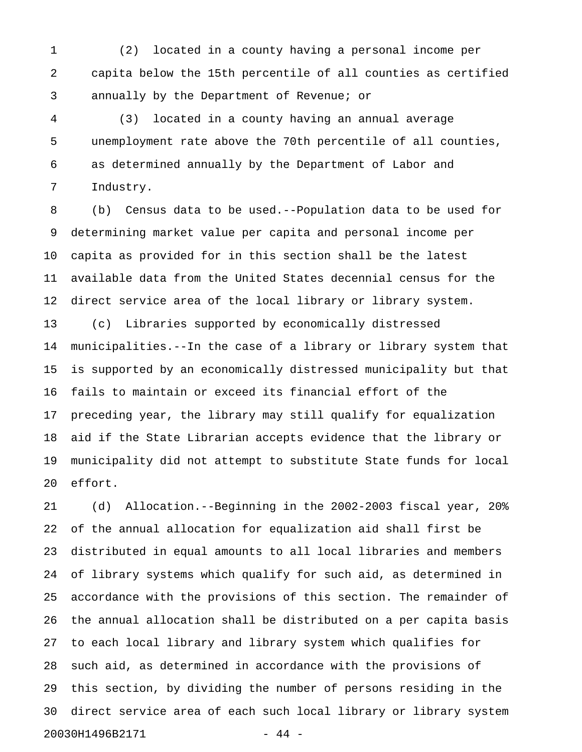1 (2) located in a county having a personal income per 2 capita below the 15th percentile of all counties as certified 3 annually by the Department of Revenue; or

4 (3) located in a county having an annual average 5 unemployment rate above the 70th percentile of all counties, 6 as determined annually by the Department of Labor and 7 Industry.

8 (b) Census data to be used.--Population data to be used for 9 determining market value per capita and personal income per 10 capita as provided for in this section shall be the latest 11 available data from the United States decennial census for the 12 direct service area of the local library or library system. 13 (c) Libraries supported by economically distressed 14 municipalities.--In the case of a library or library system that 15 is supported by an economically distressed municipality but that 16 fails to maintain or exceed its financial effort of the 17 preceding year, the library may still qualify for equalization 18 aid if the State Librarian accepts evidence that the library or 19 municipality did not attempt to substitute State funds for local 20 effort.

21 (d) Allocation.--Beginning in the 2002-2003 fiscal year, 20% 22 of the annual allocation for equalization aid shall first be 23 distributed in equal amounts to all local libraries and members 24 of library systems which qualify for such aid, as determined in 25 accordance with the provisions of this section. The remainder of 26 the annual allocation shall be distributed on a per capita basis 27 to each local library and library system which qualifies for 28 such aid, as determined in accordance with the provisions of 29 this section, by dividing the number of persons residing in the 30 direct service area of each such local library or library system 20030H1496B2171 - 44 -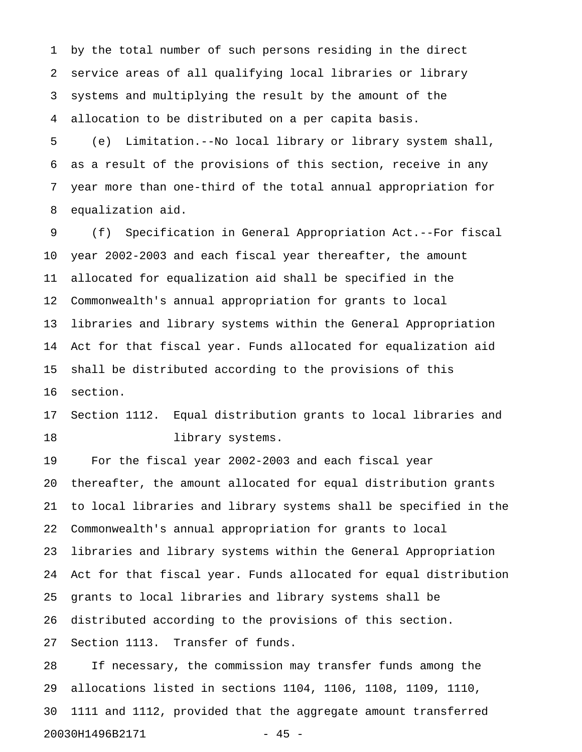1 by the total number of such persons residing in the direct 2 service areas of all qualifying local libraries or library 3 systems and multiplying the result by the amount of the 4 allocation to be distributed on a per capita basis.

5 (e) Limitation.--No local library or library system shall, 6 as a result of the provisions of this section, receive in any 7 year more than one-third of the total annual appropriation for 8 equalization aid.

9 (f) Specification in General Appropriation Act.--For fiscal 10 year 2002-2003 and each fiscal year thereafter, the amount 11 allocated for equalization aid shall be specified in the 12 Commonwealth's annual appropriation for grants to local 13 libraries and library systems within the General Appropriation 14 Act for that fiscal year. Funds allocated for equalization aid 15 shall be distributed according to the provisions of this 16 section.

17 Section 1112. Equal distribution grants to local libraries and 18 library systems.

19 For the fiscal year 2002-2003 and each fiscal year 20 thereafter, the amount allocated for equal distribution grants 21 to local libraries and library systems shall be specified in the 22 Commonwealth's annual appropriation for grants to local 23 libraries and library systems within the General Appropriation 24 Act for that fiscal year. Funds allocated for equal distribution 25 grants to local libraries and library systems shall be 26 distributed according to the provisions of this section. 27 Section 1113. Transfer of funds.

28 If necessary, the commission may transfer funds among the 29 allocations listed in sections 1104, 1106, 1108, 1109, 1110, 30 1111 and 1112, provided that the aggregate amount transferred 20030H1496B2171 - 45 -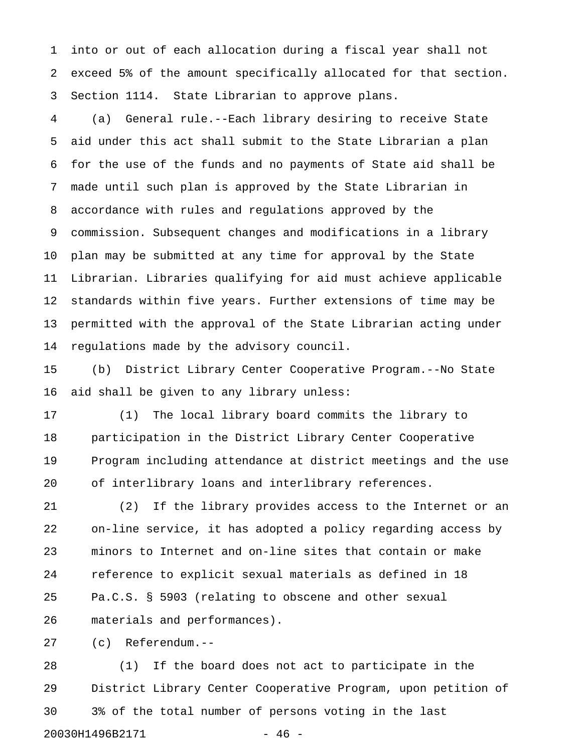1 into or out of each allocation during a fiscal year shall not 2 exceed 5% of the amount specifically allocated for that section. 3 Section 1114. State Librarian to approve plans.

4 (a) General rule.--Each library desiring to receive State 5 aid under this act shall submit to the State Librarian a plan 6 for the use of the funds and no payments of State aid shall be 7 made until such plan is approved by the State Librarian in 8 accordance with rules and regulations approved by the 9 commission. Subsequent changes and modifications in a library 10 plan may be submitted at any time for approval by the State 11 Librarian. Libraries qualifying for aid must achieve applicable 12 standards within five years. Further extensions of time may be 13 permitted with the approval of the State Librarian acting under 14 regulations made by the advisory council.

15 (b) District Library Center Cooperative Program.--No State 16 aid shall be given to any library unless:

17 (1) The local library board commits the library to 18 participation in the District Library Center Cooperative 19 Program including attendance at district meetings and the use 20 of interlibrary loans and interlibrary references.

21 (2) If the library provides access to the Internet or an 22 on-line service, it has adopted a policy regarding access by 23 minors to Internet and on-line sites that contain or make 24 reference to explicit sexual materials as defined in 18 25 Pa.C.S. § 5903 (relating to obscene and other sexual 26 materials and performances).

27 (c) Referendum.--

28 (1) If the board does not act to participate in the 29 District Library Center Cooperative Program, upon petition of 30 3% of the total number of persons voting in the last 20030H1496B2171 - 46 -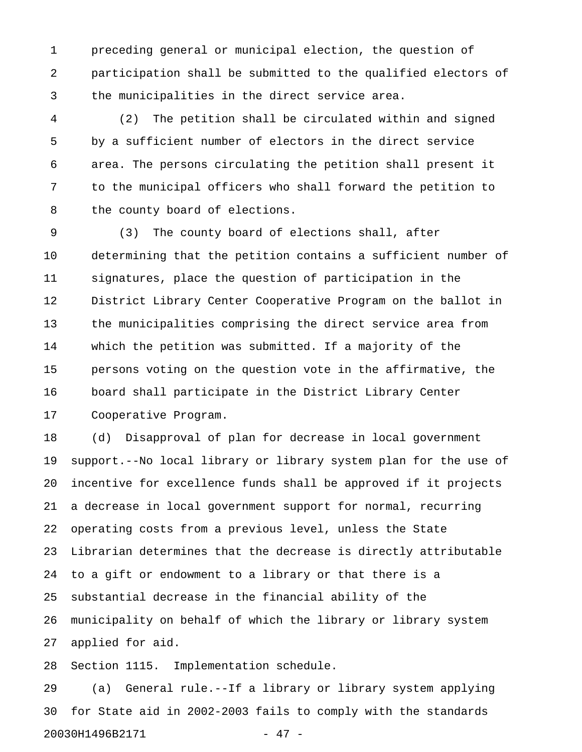1 preceding general or municipal election, the question of 2 participation shall be submitted to the qualified electors of 3 the municipalities in the direct service area.

4 (2) The petition shall be circulated within and signed 5 by a sufficient number of electors in the direct service 6 area. The persons circulating the petition shall present it 7 to the municipal officers who shall forward the petition to 8 the county board of elections.

9 (3) The county board of elections shall, after 10 determining that the petition contains a sufficient number of 11 signatures, place the question of participation in the 12 District Library Center Cooperative Program on the ballot in 13 the municipalities comprising the direct service area from 14 which the petition was submitted. If a majority of the 15 persons voting on the question vote in the affirmative, the 16 board shall participate in the District Library Center 17 Cooperative Program.

18 (d) Disapproval of plan for decrease in local government 19 support.--No local library or library system plan for the use of 20 incentive for excellence funds shall be approved if it projects 21 a decrease in local government support for normal, recurring 22 operating costs from a previous level, unless the State 23 Librarian determines that the decrease is directly attributable 24 to a gift or endowment to a library or that there is a 25 substantial decrease in the financial ability of the 26 municipality on behalf of which the library or library system 27 applied for aid.

28 Section 1115. Implementation schedule.

29 (a) General rule.--If a library or library system applying 30 for State aid in 2002-2003 fails to comply with the standards 20030H1496B2171 - 47 -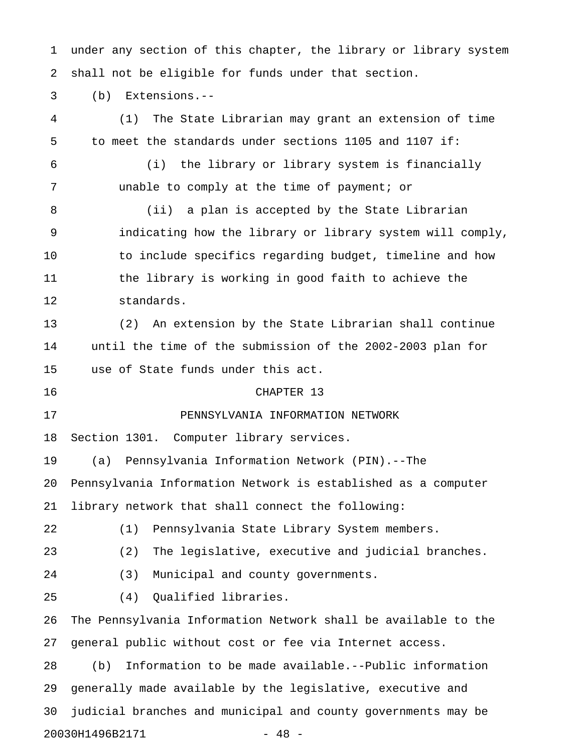1 under any section of this chapter, the library or library system 2 shall not be eligible for funds under that section.

3 (b) Extensions.--

4 (1) The State Librarian may grant an extension of time 5 to meet the standards under sections 1105 and 1107 if: 6 (i) the library or library system is financially 7 unable to comply at the time of payment; or 8 (ii) a plan is accepted by the State Librarian 9 indicating how the library or library system will comply, 10 to include specifics regarding budget, timeline and how 11 the library is working in good faith to achieve the 12 standards. 13 (2) An extension by the State Librarian shall continue 14 until the time of the submission of the 2002-2003 plan for 15 use of State funds under this act. 16 CHAPTER 13 17 PENNSYLVANIA INFORMATION NETWORK 18 Section 1301. Computer library services. 19 (a) Pennsylvania Information Network (PIN).--The 20 Pennsylvania Information Network is established as a computer 21 library network that shall connect the following: 22 (1) Pennsylvania State Library System members. 23 (2) The legislative, executive and judicial branches. 24 (3) Municipal and county governments. 25 (4) Qualified libraries. 26 The Pennsylvania Information Network shall be available to the 27 general public without cost or fee via Internet access. 28 (b) Information to be made available.--Public information 29 generally made available by the legislative, executive and 30 judicial branches and municipal and county governments may be 20030H1496B2171 - 48 -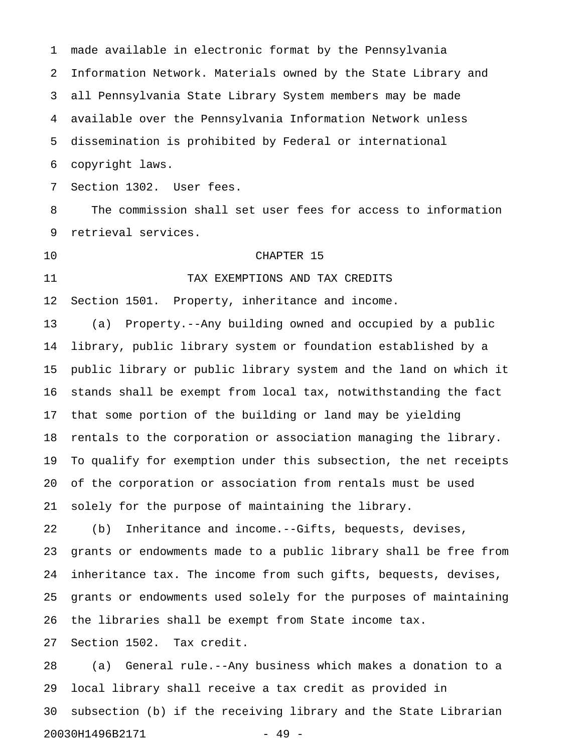1 made available in electronic format by the Pennsylvania 2 Information Network. Materials owned by the State Library and 3 all Pennsylvania State Library System members may be made 4 available over the Pennsylvania Information Network unless 5 dissemination is prohibited by Federal or international 6 copyright laws. 7 Section 1302. User fees. 8 The commission shall set user fees for access to information

9 retrieval services.

## 10 CHAPTER 15

# 11 TAX EXEMPTIONS AND TAX CREDITS

12 Section 1501. Property, inheritance and income.

13 (a) Property.--Any building owned and occupied by a public 14 library, public library system or foundation established by a 15 public library or public library system and the land on which it 16 stands shall be exempt from local tax, notwithstanding the fact 17 that some portion of the building or land may be yielding 18 rentals to the corporation or association managing the library. 19 To qualify for exemption under this subsection, the net receipts 20 of the corporation or association from rentals must be used 21 solely for the purpose of maintaining the library.

22 (b) Inheritance and income.--Gifts, bequests, devises, 23 grants or endowments made to a public library shall be free from 24 inheritance tax. The income from such gifts, bequests, devises, 25 grants or endowments used solely for the purposes of maintaining 26 the libraries shall be exempt from State income tax.

27 Section 1502. Tax credit.

28 (a) General rule.--Any business which makes a donation to a 29 local library shall receive a tax credit as provided in 30 subsection (b) if the receiving library and the State Librarian 20030H1496B2171 - 49 -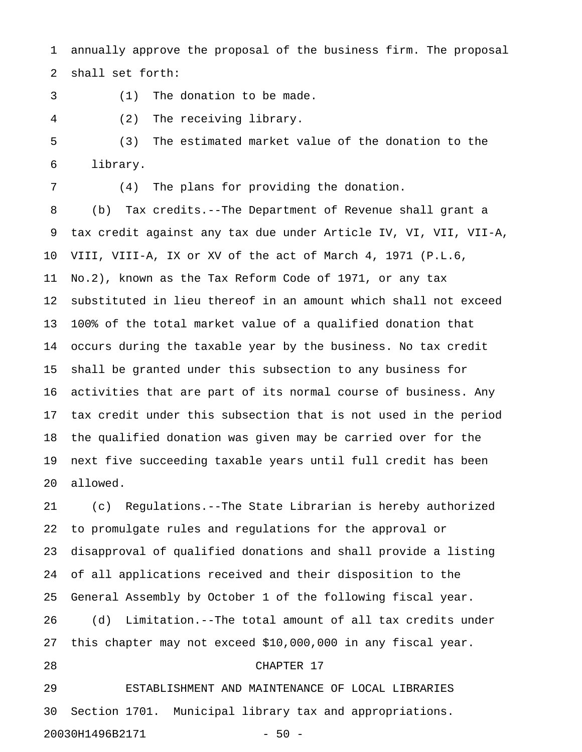1 annually approve the proposal of the business firm. The proposal 2 shall set forth:

- 3 (1) The donation to be made.
- 4 (2) The receiving library.

5 (3) The estimated market value of the donation to the 6 library.

7 (4) The plans for providing the donation.

8 (b) Tax credits.--The Department of Revenue shall grant a 9 tax credit against any tax due under Article IV, VI, VII, VII-A, 10 VIII, VIII-A, IX or XV of the act of March 4, 1971 (P.L.6, 11 No.2), known as the Tax Reform Code of 1971, or any tax 12 substituted in lieu thereof in an amount which shall not exceed 13 100% of the total market value of a qualified donation that 14 occurs during the taxable year by the business. No tax credit 15 shall be granted under this subsection to any business for 16 activities that are part of its normal course of business. Any 17 tax credit under this subsection that is not used in the period 18 the qualified donation was given may be carried over for the 19 next five succeeding taxable years until full credit has been 20 allowed.

21 (c) Regulations.--The State Librarian is hereby authorized 22 to promulgate rules and regulations for the approval or 23 disapproval of qualified donations and shall provide a listing 24 of all applications received and their disposition to the 25 General Assembly by October 1 of the following fiscal year. 26 (d) Limitation.--The total amount of all tax credits under 27 this chapter may not exceed \$10,000,000 in any fiscal year. 28 CHAPTER 17 29 ESTABLISHMENT AND MAINTENANCE OF LOCAL LIBRARIES 30 Section 1701. Municipal library tax and appropriations.

20030H1496B2171 - 50 -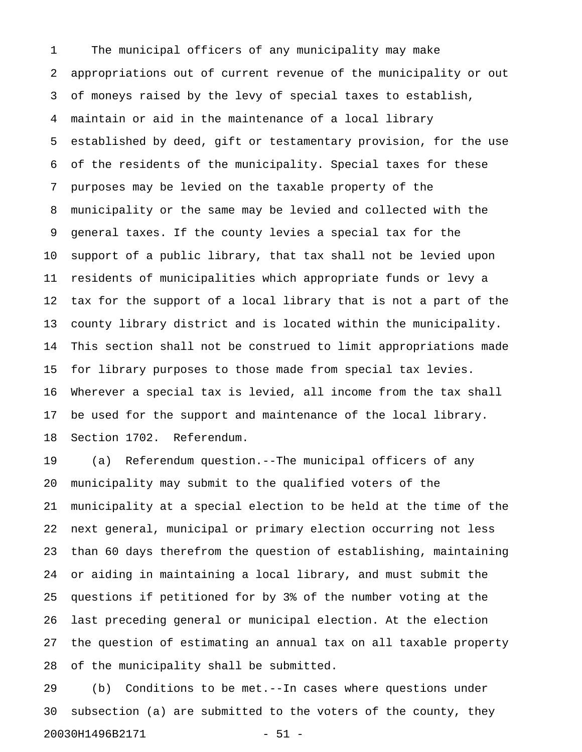1 The municipal officers of any municipality may make 2 appropriations out of current revenue of the municipality or out 3 of moneys raised by the levy of special taxes to establish, 4 maintain or aid in the maintenance of a local library 5 established by deed, gift or testamentary provision, for the use 6 of the residents of the municipality. Special taxes for these 7 purposes may be levied on the taxable property of the 8 municipality or the same may be levied and collected with the 9 general taxes. If the county levies a special tax for the 10 support of a public library, that tax shall not be levied upon 11 residents of municipalities which appropriate funds or levy a 12 tax for the support of a local library that is not a part of the 13 county library district and is located within the municipality. 14 This section shall not be construed to limit appropriations made 15 for library purposes to those made from special tax levies. 16 Wherever a special tax is levied, all income from the tax shall 17 be used for the support and maintenance of the local library. 18 Section 1702. Referendum.

19 (a) Referendum question.--The municipal officers of any 20 municipality may submit to the qualified voters of the 21 municipality at a special election to be held at the time of the 22 next general, municipal or primary election occurring not less 23 than 60 days therefrom the question of establishing, maintaining 24 or aiding in maintaining a local library, and must submit the 25 questions if petitioned for by 3% of the number voting at the 26 last preceding general or municipal election. At the election 27 the question of estimating an annual tax on all taxable property 28 of the municipality shall be submitted.

29 (b) Conditions to be met.--In cases where questions under 30 subsection (a) are submitted to the voters of the county, they 20030H1496B2171 - 51 -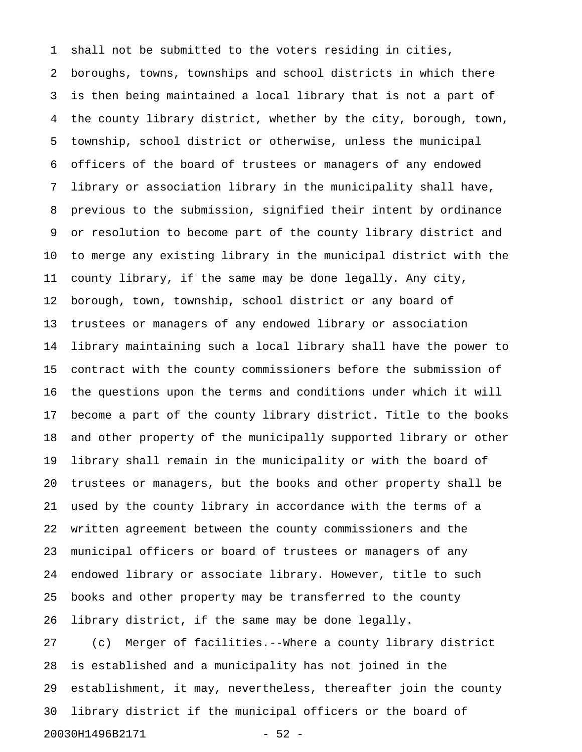1 shall not be submitted to the voters residing in cities, 2 boroughs, towns, townships and school districts in which there 3 is then being maintained a local library that is not a part of 4 the county library district, whether by the city, borough, town, 5 township, school district or otherwise, unless the municipal 6 officers of the board of trustees or managers of any endowed 7 library or association library in the municipality shall have, 8 previous to the submission, signified their intent by ordinance 9 or resolution to become part of the county library district and 10 to merge any existing library in the municipal district with the 11 county library, if the same may be done legally. Any city, 12 borough, town, township, school district or any board of 13 trustees or managers of any endowed library or association 14 library maintaining such a local library shall have the power to 15 contract with the county commissioners before the submission of 16 the questions upon the terms and conditions under which it will 17 become a part of the county library district. Title to the books 18 and other property of the municipally supported library or other 19 library shall remain in the municipality or with the board of 20 trustees or managers, but the books and other property shall be 21 used by the county library in accordance with the terms of a 22 written agreement between the county commissioners and the 23 municipal officers or board of trustees or managers of any 24 endowed library or associate library. However, title to such 25 books and other property may be transferred to the county 26 library district, if the same may be done legally. 27 (c) Merger of facilities.--Where a county library district 28 is established and a municipality has not joined in the

29 establishment, it may, nevertheless, thereafter join the county 30 library district if the municipal officers or the board of

20030H1496B2171 - 52 -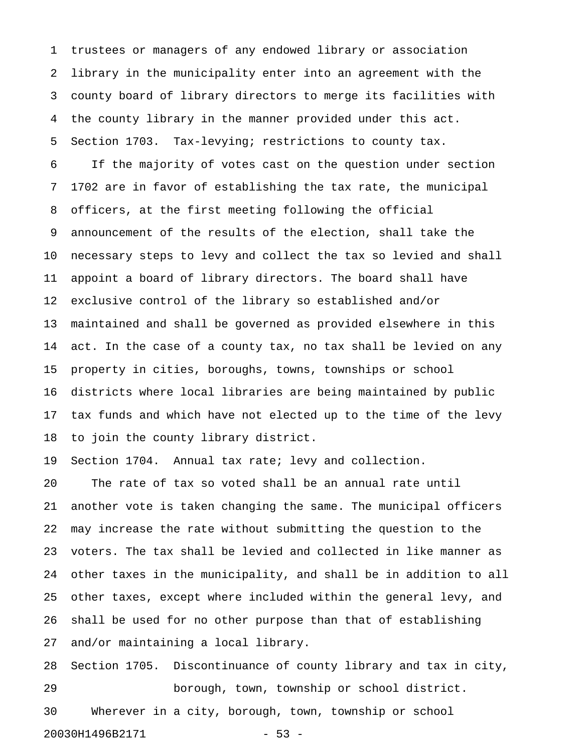1 trustees or managers of any endowed library or association 2 library in the municipality enter into an agreement with the 3 county board of library directors to merge its facilities with 4 the county library in the manner provided under this act. 5 Section 1703. Tax-levying; restrictions to county tax.

6 If the majority of votes cast on the question under section 7 1702 are in favor of establishing the tax rate, the municipal 8 officers, at the first meeting following the official 9 announcement of the results of the election, shall take the 10 necessary steps to levy and collect the tax so levied and shall 11 appoint a board of library directors. The board shall have 12 exclusive control of the library so established and/or 13 maintained and shall be governed as provided elsewhere in this 14 act. In the case of a county tax, no tax shall be levied on any 15 property in cities, boroughs, towns, townships or school 16 districts where local libraries are being maintained by public 17 tax funds and which have not elected up to the time of the levy 18 to join the county library district.

19 Section 1704. Annual tax rate; levy and collection.

20 The rate of tax so voted shall be an annual rate until 21 another vote is taken changing the same. The municipal officers 22 may increase the rate without submitting the question to the 23 voters. The tax shall be levied and collected in like manner as 24 other taxes in the municipality, and shall be in addition to all 25 other taxes, except where included within the general levy, and 26 shall be used for no other purpose than that of establishing 27 and/or maintaining a local library.

28 Section 1705. Discontinuance of county library and tax in city, 29 borough, town, township or school district. 30 Wherever in a city, borough, town, township or school 20030H1496B2171 - 53 -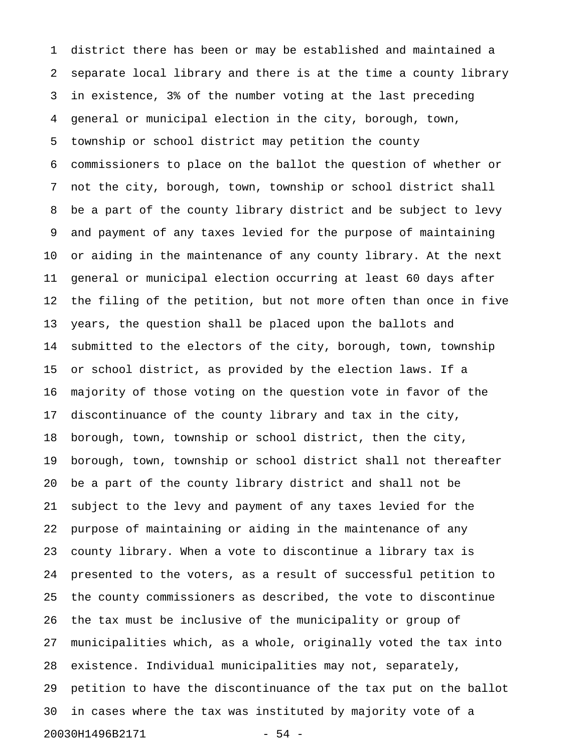1 district there has been or may be established and maintained a 2 separate local library and there is at the time a county library 3 in existence, 3% of the number voting at the last preceding 4 general or municipal election in the city, borough, town, 5 township or school district may petition the county 6 commissioners to place on the ballot the question of whether or 7 not the city, borough, town, township or school district shall 8 be a part of the county library district and be subject to levy 9 and payment of any taxes levied for the purpose of maintaining 10 or aiding in the maintenance of any county library. At the next 11 general or municipal election occurring at least 60 days after 12 the filing of the petition, but not more often than once in five 13 years, the question shall be placed upon the ballots and 14 submitted to the electors of the city, borough, town, township 15 or school district, as provided by the election laws. If a 16 majority of those voting on the question vote in favor of the 17 discontinuance of the county library and tax in the city, 18 borough, town, township or school district, then the city, 19 borough, town, township or school district shall not thereafter 20 be a part of the county library district and shall not be 21 subject to the levy and payment of any taxes levied for the 22 purpose of maintaining or aiding in the maintenance of any 23 county library. When a vote to discontinue a library tax is 24 presented to the voters, as a result of successful petition to 25 the county commissioners as described, the vote to discontinue 26 the tax must be inclusive of the municipality or group of 27 municipalities which, as a whole, originally voted the tax into 28 existence. Individual municipalities may not, separately, 29 petition to have the discontinuance of the tax put on the ballot 30 in cases where the tax was instituted by majority vote of a 20030H1496B2171 - 54 -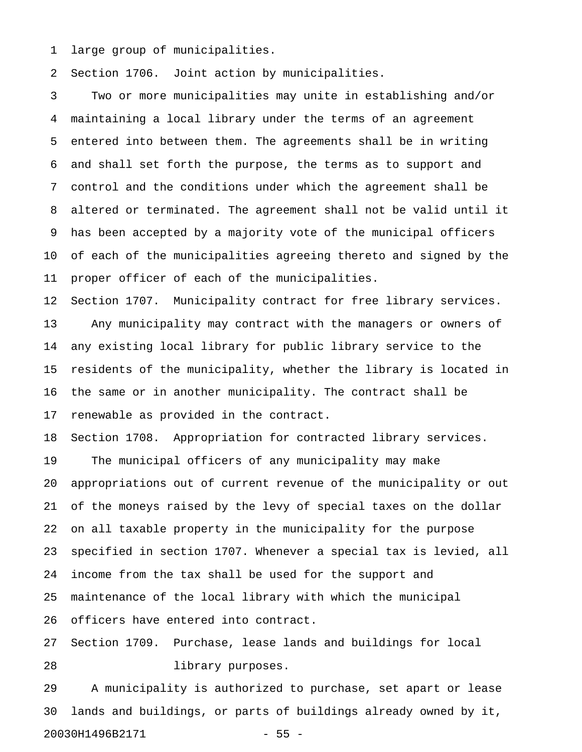1 large group of municipalities.

2 Section 1706. Joint action by municipalities.

3 Two or more municipalities may unite in establishing and/or 4 maintaining a local library under the terms of an agreement 5 entered into between them. The agreements shall be in writing 6 and shall set forth the purpose, the terms as to support and 7 control and the conditions under which the agreement shall be 8 altered or terminated. The agreement shall not be valid until it 9 has been accepted by a majority vote of the municipal officers 10 of each of the municipalities agreeing thereto and signed by the 11 proper officer of each of the municipalities.

12 Section 1707. Municipality contract for free library services. 13 Any municipality may contract with the managers or owners of 14 any existing local library for public library service to the 15 residents of the municipality, whether the library is located in 16 the same or in another municipality. The contract shall be 17 renewable as provided in the contract.

18 Section 1708. Appropriation for contracted library services. 19 The municipal officers of any municipality may make 20 appropriations out of current revenue of the municipality or out 21 of the moneys raised by the levy of special taxes on the dollar 22 on all taxable property in the municipality for the purpose 23 specified in section 1707. Whenever a special tax is levied, all 24 income from the tax shall be used for the support and 25 maintenance of the local library with which the municipal 26 officers have entered into contract.

27 Section 1709. Purchase, lease lands and buildings for local 28 library purposes.

29 A municipality is authorized to purchase, set apart or lease 30 lands and buildings, or parts of buildings already owned by it, 20030H1496B2171 - 55 -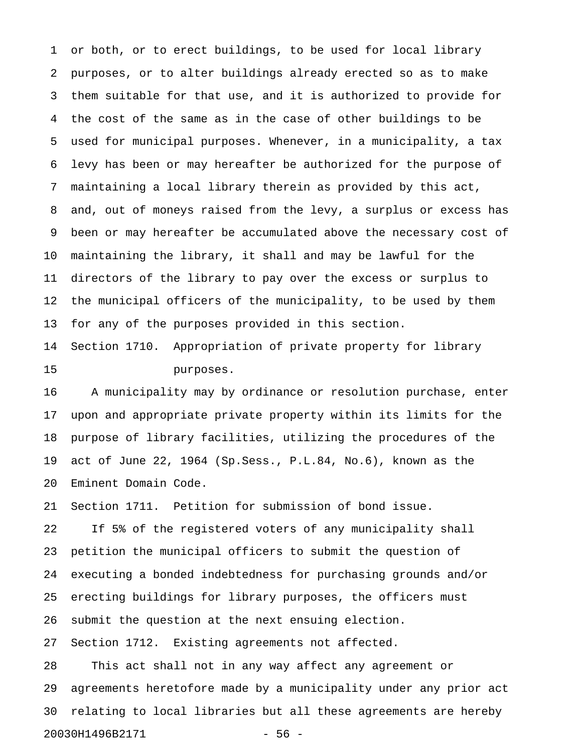1 or both, or to erect buildings, to be used for local library 2 purposes, or to alter buildings already erected so as to make 3 them suitable for that use, and it is authorized to provide for 4 the cost of the same as in the case of other buildings to be 5 used for municipal purposes. Whenever, in a municipality, a tax 6 levy has been or may hereafter be authorized for the purpose of 7 maintaining a local library therein as provided by this act, 8 and, out of moneys raised from the levy, a surplus or excess has 9 been or may hereafter be accumulated above the necessary cost of 10 maintaining the library, it shall and may be lawful for the 11 directors of the library to pay over the excess or surplus to 12 the municipal officers of the municipality, to be used by them 13 for any of the purposes provided in this section.

14 Section 1710. Appropriation of private property for library 15 purposes.

16 A municipality may by ordinance or resolution purchase, enter 17 upon and appropriate private property within its limits for the 18 purpose of library facilities, utilizing the procedures of the 19 act of June 22, 1964 (Sp.Sess., P.L.84, No.6), known as the 20 Eminent Domain Code.

21 Section 1711. Petition for submission of bond issue.

22 If 5% of the registered voters of any municipality shall 23 petition the municipal officers to submit the question of 24 executing a bonded indebtedness for purchasing grounds and/or 25 erecting buildings for library purposes, the officers must 26 submit the question at the next ensuing election. 27 Section 1712. Existing agreements not affected. 28 This act shall not in any way affect any agreement or

29 agreements heretofore made by a municipality under any prior act 30 relating to local libraries but all these agreements are hereby 20030H1496B2171 - 56 -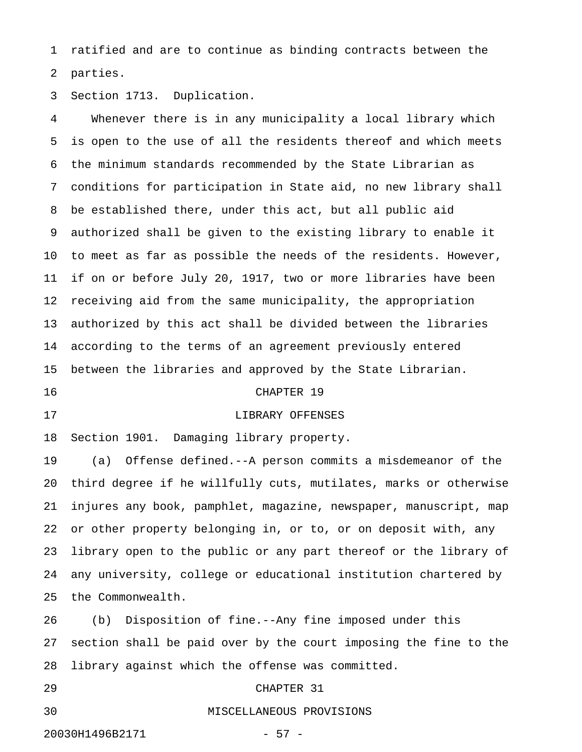1 ratified and are to continue as binding contracts between the 2 parties.

3 Section 1713. Duplication.

4 Whenever there is in any municipality a local library which 5 is open to the use of all the residents thereof and which meets 6 the minimum standards recommended by the State Librarian as 7 conditions for participation in State aid, no new library shall 8 be established there, under this act, but all public aid 9 authorized shall be given to the existing library to enable it 10 to meet as far as possible the needs of the residents. However, 11 if on or before July 20, 1917, two or more libraries have been 12 receiving aid from the same municipality, the appropriation 13 authorized by this act shall be divided between the libraries 14 according to the terms of an agreement previously entered 15 between the libraries and approved by the State Librarian.

### 16 CHAPTER 19

## 17 LIBRARY OFFENSES

18 Section 1901. Damaging library property.

19 (a) Offense defined.--A person commits a misdemeanor of the 20 third degree if he willfully cuts, mutilates, marks or otherwise 21 injures any book, pamphlet, magazine, newspaper, manuscript, map 22 or other property belonging in, or to, or on deposit with, any 23 library open to the public or any part thereof or the library of 24 any university, college or educational institution chartered by 25 the Commonwealth.

26 (b) Disposition of fine.--Any fine imposed under this 27 section shall be paid over by the court imposing the fine to the 28 library against which the offense was committed.

## 29 CHAPTER 31

#### 30 MISCELLANEOUS PROVISIONS

20030H1496B2171 - 57 -